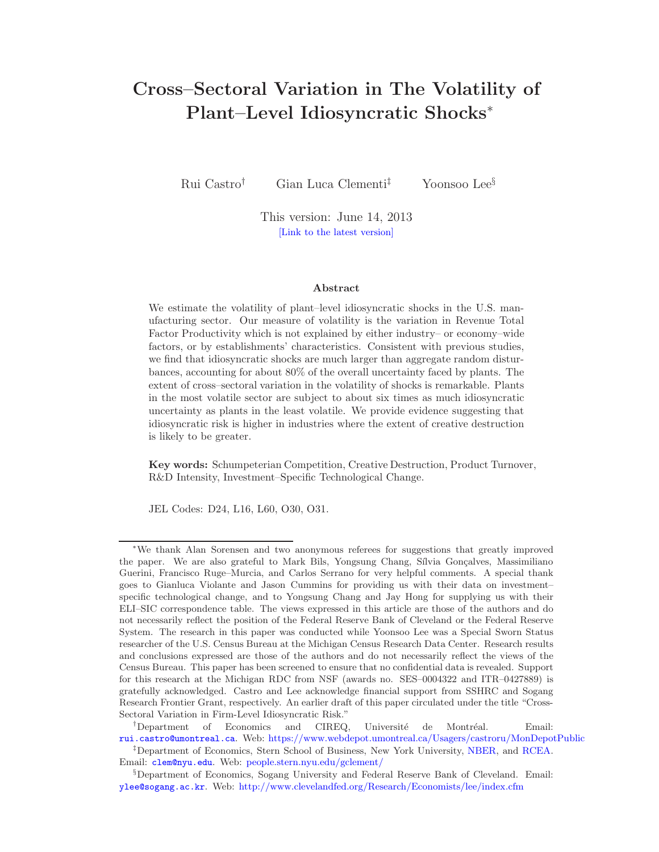# Cross–Sectoral Variation in The Volatility of Plant–Level Idiosyncratic Shocks<sup>∗</sup>

Rui Castro† Gian Luca Clementi‡ Yoonsoo Lee§

This version: June 14, 2013 [\[Link to the latest version\]](http://pages.stern.nyu.edu/~gclement/Papers/Volatility.htm)

#### Abstract

We estimate the volatility of plant–level idiosyncratic shocks in the U.S. manufacturing sector. Our measure of volatility is the variation in Revenue Total Factor Productivity which is not explained by either industry– or economy–wide factors, or by establishments' characteristics. Consistent with previous studies, we find that idiosyncratic shocks are much larger than aggregate random disturbances, accounting for about 80% of the overall uncertainty faced by plants. The extent of cross–sectoral variation in the volatility of shocks is remarkable. Plants in the most volatile sector are subject to about six times as much idiosyncratic uncertainty as plants in the least volatile. We provide evidence suggesting that idiosyncratic risk is higher in industries where the extent of creative destruction is likely to be greater.

Key words: Schumpeterian Competition, Creative Destruction, Product Turnover, R&D Intensity, Investment–Specific Technological Change.

JEL Codes: D24, L16, L60, O30, O31.

<sup>†</sup>Department of Economics and CIREQ, Université de Montréal. Email:

<sup>∗</sup>We thank Alan Sorensen and two anonymous referees for suggestions that greatly improved the paper. We are also grateful to Mark Bils, Yongsung Chang, Sílvia Gonçalves, Massimiliano Guerini, Francisco Ruge–Murcia, and Carlos Serrano for very helpful comments. A special thank goes to Gianluca Violante and Jason Cummins for providing us with their data on investment– specific technological change, and to Yongsung Chang and Jay Hong for supplying us with their ELI–SIC correspondence table. The views expressed in this article are those of the authors and do not necessarily reflect the position of the Federal Reserve Bank of Cleveland or the Federal Reserve System. The research in this paper was conducted while Yoonsoo Lee was a Special Sworn Status researcher of the U.S. Census Bureau at the Michigan Census Research Data Center. Research results and conclusions expressed are those of the authors and do not necessarily reflect the views of the Census Bureau. This paper has been screened to ensure that no confidential data is revealed. Support for this research at the Michigan RDC from NSF (awards no. SES–0004322 and ITR–0427889) is gratefully acknowledged. Castro and Lee acknowledge financial support from SSHRC and Sogang Research Frontier Grant, respectively. An earlier draft of this paper circulated under the title "Cross-Sectoral Variation in Firm-Level Idiosyncratic Risk."

[rui.castro@umontreal.ca](mailto:rui.castro@umontreal.ca). Web: <https://www.webdepot.umontreal.ca/Usagers/castroru/MonDepotPublic> ‡Department of Economics, Stern School of Business, New York University, [NBER,](http://www.nber.org) and [RCEA.](http://www.rcfea.org) Email: [clem@nyu.edu](mailto:clem@nyu.edu). Web: [people.stern.nyu.edu/gclement/](http://people.stern.nyu.edu/gclement/)

<sup>§</sup>Department of Economics, Sogang University and Federal Reserve Bank of Cleveland. Email: [ylee@sogang.ac.kr](mailto:ylee@sogang.ac.kr). Web: <http://www.clevelandfed.org/Research/Economists/lee/index.cfm>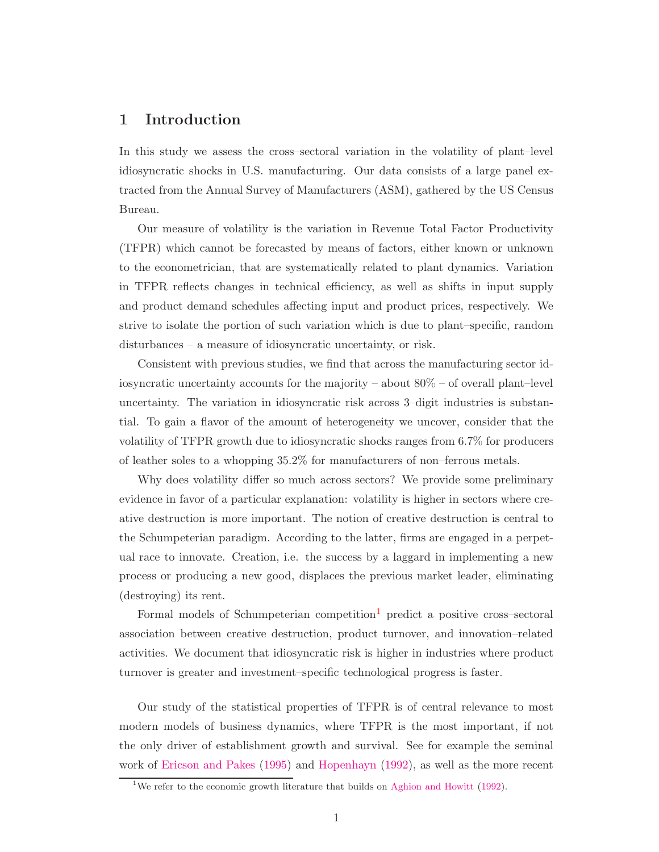## 1 Introduction

In this study we assess the cross–sectoral variation in the volatility of plant–level idiosyncratic shocks in U.S. manufacturing. Our data consists of a large panel extracted from the Annual Survey of Manufacturers (ASM), gathered by the US Census Bureau.

Our measure of volatility is the variation in Revenue Total Factor Productivity (TFPR) which cannot be forecasted by means of factors, either known or unknown to the econometrician, that are systematically related to plant dynamics. Variation in TFPR reflects changes in technical efficiency, as well as shifts in input supply and product demand schedules affecting input and product prices, respectively. We strive to isolate the portion of such variation which is due to plant–specific, random disturbances – a measure of idiosyncratic uncertainty, or risk.

Consistent with previous studies, we find that across the manufacturing sector idiosyncratic uncertainty accounts for the majority – about 80% – of overall plant–level uncertainty. The variation in idiosyncratic risk across 3–digit industries is substantial. To gain a flavor of the amount of heterogeneity we uncover, consider that the volatility of TFPR growth due to idiosyncratic shocks ranges from 6.7% for producers of leather soles to a whopping 35.2% for manufacturers of non–ferrous metals.

Why does volatility differ so much across sectors? We provide some preliminary evidence in favor of a particular explanation: volatility is higher in sectors where creative destruction is more important. The notion of creative destruction is central to the Schumpeterian paradigm. According to the latter, firms are engaged in a perpetual race to innovate. Creation, i.e. the success by a laggard in implementing a new process or producing a new good, displaces the previous market leader, eliminating (destroying) its rent.

Formal models of Schumpeterian competition<sup>[1](#page-1-0)</sup> predict a positive cross–sectoral association between creative destruction, product turnover, and innovation–related activities. We document that idiosyncratic risk is higher in industries where product turnover is greater and investment–specific technological progress is faster.

Our study of the statistical properties of TFPR is of central relevance to most modern models of business dynamics, where TFPR is the most important, if not the only driver of establishment growth and survival. See for example the seminal work of [Ericson and Pakes](#page-31-0) [\(1995\)](#page-31-0) and [Hopenhayn](#page-31-1) [\(1992](#page-31-1)), as well as the more recent

<span id="page-1-0"></span><sup>&</sup>lt;sup>1</sup>We refer to the economic growth literature that builds on [Aghion and Howitt](#page-28-0) [\(1992\)](#page-28-0).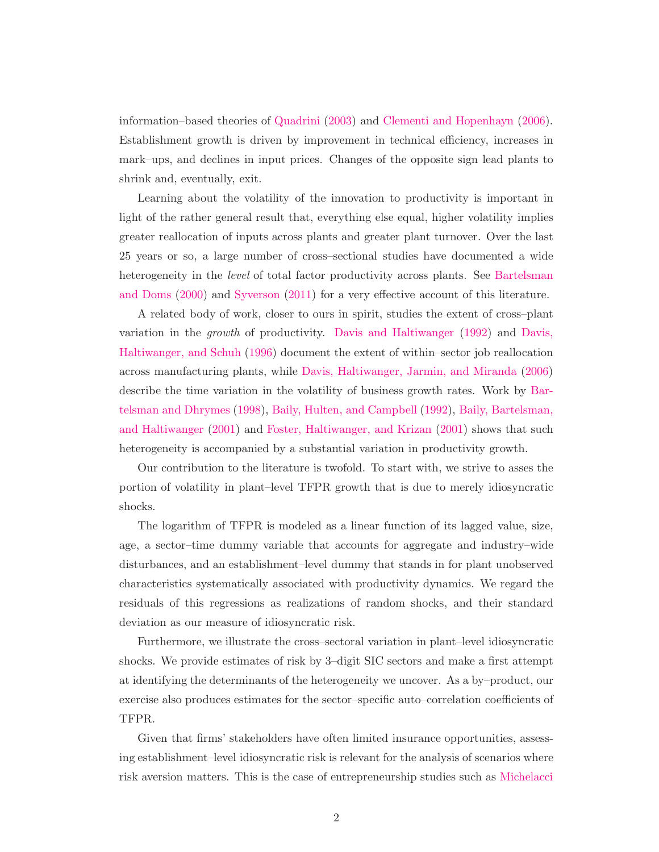information–based theories of [Quadrini](#page-32-0) [\(2003\)](#page-32-0) and [Clementi and Hopenhayn](#page-30-0) [\(2006\)](#page-30-0). Establishment growth is driven by improvement in technical efficiency, increases in mark–ups, and declines in input prices. Changes of the opposite sign lead plants to shrink and, eventually, exit.

Learning about the volatility of the innovation to productivity is important in light of the rather general result that, everything else equal, higher volatility implies greater reallocation of inputs across plants and greater plant turnover. Over the last 25 years or so, a large number of cross–sectional studies have documented a wide heterogeneity in the *level* [of total factor productivity across plants. See](#page-29-0) Bartelsman and Doms [\(2000\)](#page-29-0) and [Syverson](#page-32-1) [\(2011\)](#page-32-1) for a very effective account of this literature.

A related body of work, closer to ours in spirit, studies the extent of cross–plant variation in the growth of productivity. [Davis and Haltiwanger](#page-30-1) [\(1992\)](#page-30-1) and Davis, Haltiwanger, and Schuh [\(1996](#page-30-2)) document the extent of within–sector job reallocation across manufacturing plants, while [Davis, Haltiwanger, Jarmin, and Miranda](#page-30-3) [\(2006\)](#page-30-3) describe the time var[iation in the volatility of business growth rates. Work by](#page-29-1) Bartelsman and Dhrymes [\(1998](#page-29-1)), [Baily, Hulten, and Campbell](#page-29-2) [\(1992](#page-29-2)), Baily, Bartelsman, and Haltiwanger [\(2001\)](#page-29-3) and [Foster, Haltiwanger, and Krizan](#page-31-2) [\(2001\)](#page-31-2) shows that such heterogeneity is accompanied by a substantial variation in productivity growth.

Our contribution to the literature is twofold. To start with, we strive to asses the portion of volatility in plant–level TFPR growth that is due to merely idiosyncratic shocks.

The logarithm of TFPR is modeled as a linear function of its lagged value, size, age, a sector–time dummy variable that accounts for aggregate and industry–wide disturbances, and an establishment–level dummy that stands in for plant unobserved characteristics systematically associated with productivity dynamics. We regard the residuals of this regressions as realizations of random shocks, and their standard deviation as our measure of idiosyncratic risk.

Furthermore, we illustrate the cross–sectoral variation in plant–level idiosyncratic shocks. We provide estimates of risk by 3–digit SIC sectors and make a first attempt at identifying the determinants of the heterogeneity we uncover. As a by–product, our exercise also produces estimates for the sector–specific auto–correlation coefficients of TFPR.

Given that firms' stakeholders have often limited insurance opportunities, assessing establishment–level idiosyncratic risk is relevant for the analysis of scenarios where risk aversion matters. This is the case of entrepreneurship studies such as Michelacci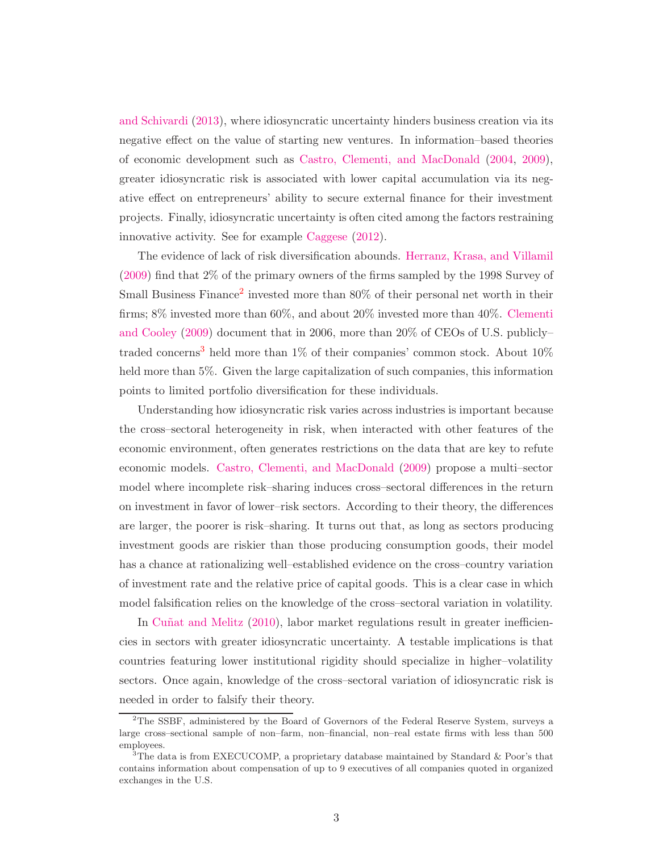and Schivardi [\(2013\)](#page-32-2), where idiosyncratic uncertainty hinders business creation via its negative effect on the value of starting new ventures. In information–based theories of economic development such as [Castro, Clementi, and MacDonald](#page-29-4) [\(2004,](#page-29-4) [2009\)](#page-30-4), greater idiosyncratic risk is associated with lower capital accumulation via its negative effect on entrepreneurs' ability to secure external finance for their investment projects. Finally, idiosyncratic uncertainty is often cited among the factors restraining innovative activity. See for example [Caggese](#page-29-5) [\(2012\)](#page-29-5).

The evidence of lack of risk diversification abounds. [Herranz, Krasa, and Villamil](#page-31-3) [\(2009\)](#page-31-3) find that 2% of the primary owners of the firms sampled by the 1998 Survey of Small Business Finance<sup>[2](#page-3-0)</sup> invested more than 80% of their personal net worth in their firms; 8% i[nvested more than 60%, and about 20% invested more than 40%.](#page-30-5) Clementi and Cooley [\(2009\)](#page-30-5) document that in 2006, more than 20% of CEOs of U.S. publicly– traded concerns<sup>[3](#page-3-1)</sup> held more than  $1\%$  of their companies' common stock. About  $10\%$ held more than 5%. Given the large capitalization of such companies, this information points to limited portfolio diversification for these individuals.

Understanding how idiosyncratic risk varies across industries is important because the cross–sectoral heterogeneity in risk, when interacted with other features of the economic environment, often generates restrictions on the data that are key to refute economic models. [Castro, Clementi, and MacDonald](#page-30-4) [\(2009\)](#page-30-4) propose a multi–sector model where incomplete risk–sharing induces cross–sectoral differences in the return on investment in favor of lower–risk sectors. According to their theory, the differences are larger, the poorer is risk–sharing. It turns out that, as long as sectors producing investment goods are riskier than those producing consumption goods, their model has a chance at rationalizing well–established evidence on the cross–country variation of investment rate and the relative price of capital goods. This is a clear case in which model falsification relies on the knowledge of the cross–sectoral variation in volatility.

In Cuñat and Melitz [\(2010\)](#page-30-6), labor market regulations result in greater inefficiencies in sectors with greater idiosyncratic uncertainty. A testable implications is that countries featuring lower institutional rigidity should specialize in higher–volatility sectors. Once again, knowledge of the cross–sectoral variation of idiosyncratic risk is needed in order to falsify their theory.

<span id="page-3-0"></span><sup>&</sup>lt;sup>2</sup>The SSBF, administered by the Board of Governors of the Federal Reserve System, surveys a large cross–sectional sample of non–farm, non–financial, non–real estate firms with less than 500 employees.

<span id="page-3-1"></span><sup>&</sup>lt;sup>3</sup>The data is from EXECUCOMP, a proprietary database maintained by Standard & Poor's that contains information about compensation of up to 9 executives of all companies quoted in organized exchanges in the U.S.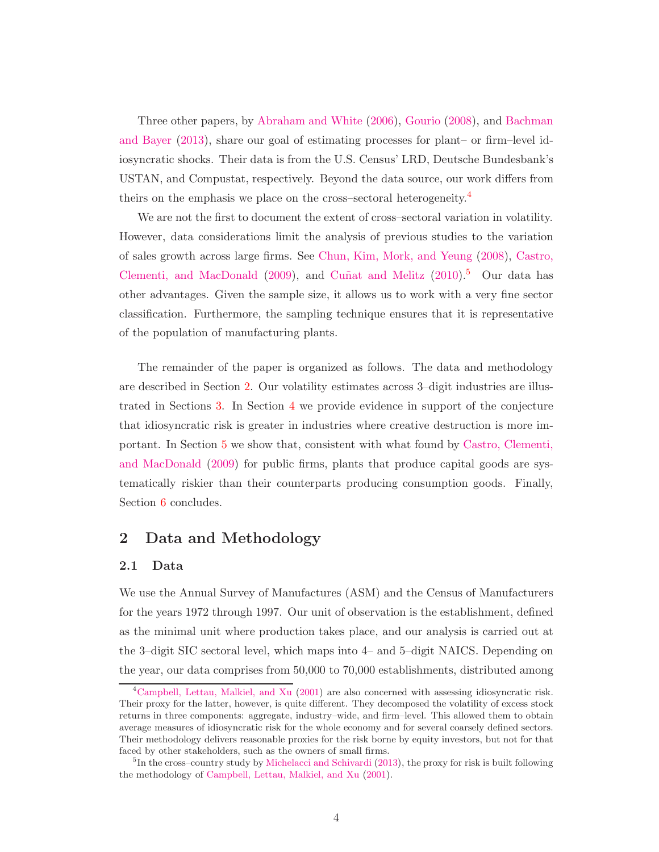Three other papers, by [Abraham and White](#page-28-1) [\(2006\)](#page-28-1), [Gourio](#page-31-4) [\(2008](#page-31-4)), and Bachman and Bayer [\(2013\)](#page-29-6), share our goal of estimating processes for plant– or firm–level idiosyncratic shocks. Their data is from the U.S. Census' LRD, Deutsche Bundesbank's USTAN, and Compustat, respectively. Beyond the data source, our work differs from theirs on the emphasis we place on the cross–sectoral heterogeneity.[4](#page-4-0)

We are not the first to document the extent of cross–sectoral variation in volatility. However, data considerations limit the analysis of previous studies to the variation of sales growth across large firms. See [Chun, Kim, Mork, and Yeung](#page-30-7) [\(2008](#page-30-7)), Castro, Clementi, and MacDonald [\(2009\)](#page-30-4), and Cuñat and Melitz [\(2010\)](#page-30-6).<sup>[5](#page-4-1)</sup> Our data has other advantages. Given the sample size, it allows us to work with a very fine sector classification. Furthermore, the sampling technique ensures that it is representative of the population of manufacturing plants.

The remainder of the paper is organized as follows. The data and methodology are described in Section [2.](#page-4-2) Our volatility estimates across 3–digit industries are illustrated in Sections [3.](#page-6-0) In Section [4](#page-9-0) we provide evidence in support of the conjecture that idiosyncratic risk is greater in industries where creative destruction is more important. In Section [5](#page-17-0) [we show that, consistent with what found by](#page-30-4) Castro, Clementi, and MacDonald [\(2009\)](#page-30-4) for public firms, plants that produce capital goods are systematically riskier than their counterparts producing consumption goods. Finally, Section [6](#page-20-0) concludes.

# <span id="page-4-2"></span>2 Data and Methodology

## 2.1 Data

We use the Annual Survey of Manufactures (ASM) and the Census of Manufacturers for the years 1972 through 1997. Our unit of observation is the establishment, defined as the minimal unit where production takes place, and our analysis is carried out at the 3–digit SIC sectoral level, which maps into 4– and 5–digit NAICS. Depending on the year, our data comprises from 50,000 to 70,000 establishments, distributed among

<span id="page-4-0"></span><sup>&</sup>lt;sup>4</sup>[Campbell, Lettau, Malkiel, and Xu](#page-29-7) [\(2001\)](#page-29-7) are also concerned with assessing idiosyncratic risk. Their proxy for the latter, however, is quite different. They decomposed the volatility of excess stock returns in three components: aggregate, industry–wide, and firm–level. This allowed them to obtain average measures of idiosyncratic risk for the whole economy and for several coarsely defined sectors. Their methodology delivers reasonable proxies for the risk borne by equity investors, but not for that faced by other stakeholders, such as the owners of small firms.

<span id="page-4-1"></span><sup>5</sup> In the cross–country study by [Michelacci and Schivardi](#page-32-2) [\(2013\)](#page-32-2), the proxy for risk is built following the methodology of [Campbell, Lettau, Malkiel, and Xu](#page-29-7) [\(2001\)](#page-29-7).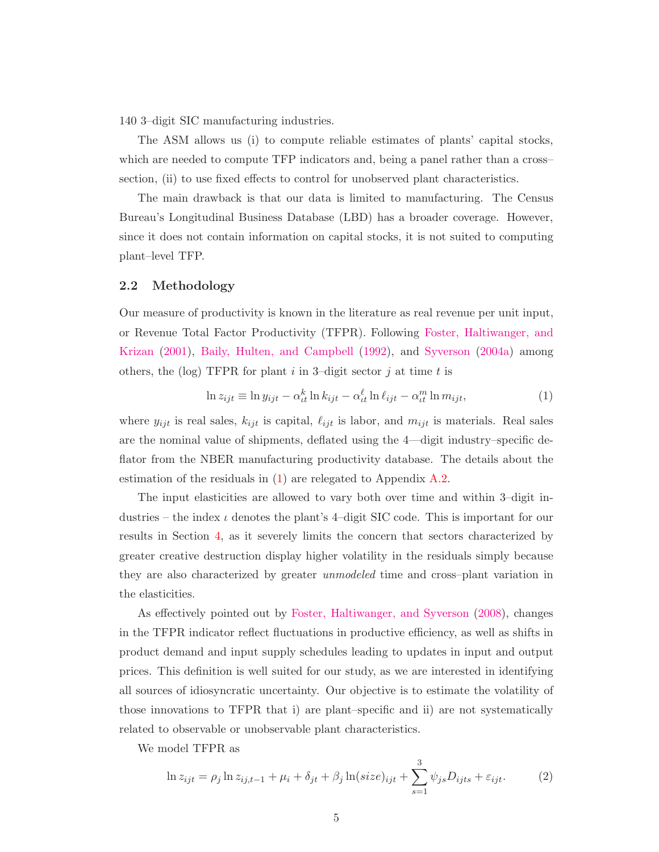140 3–digit SIC manufacturing industries.

The ASM allows us (i) to compute reliable estimates of plants' capital stocks, which are needed to compute TFP indicators and, being a panel rather than a crosssection, (ii) to use fixed effects to control for unobserved plant characteristics.

The main drawback is that our data is limited to manufacturing. The Census Bureau's Longitudinal Business Database (LBD) has a broader coverage. However, since it does not contain information on capital stocks, it is not suited to computing plant–level TFP.

#### 2.2 Methodology

Our measure of productivity is known in the literature as real revenue per unit input, or Re[venue Total Factor Productivity \(TFPR\). Following](#page-31-2) Foster, Haltiwanger, and Krizan [\(2001\)](#page-31-2), [Baily, Hulten, and Campbell](#page-29-2) [\(1992](#page-29-2)), and [Syverson](#page-32-3) [\(2004a](#page-32-3)) among others, the (log) TFPR for plant  $i$  in 3-digit sector  $j$  at time  $t$  is

<span id="page-5-0"></span>
$$
\ln z_{ijt} \equiv \ln y_{ijt} - \alpha_{tt}^k \ln k_{ijt} - \alpha_{tt}^\ell \ln \ell_{ijt} - \alpha_{tt}^m \ln m_{ijt}, \tag{1}
$$

where  $y_{ijt}$  is real sales,  $k_{ijt}$  is capital,  $\ell_{ijt}$  is labor, and  $m_{ijt}$  is materials. Real sales are the nominal value of shipments, deflated using the 4—digit industry–specific deflator from the NBER manufacturing productivity database. The details about the estimation of the residuals in [\(1\)](#page-5-0) are relegated to Appendix [A.2.](#page-21-0)

The input elasticities are allowed to vary both over time and within 3–digit industries – the index  $\iota$  denotes the plant's 4-digit SIC code. This is important for our results in Section [4,](#page-9-0) as it severely limits the concern that sectors characterized by greater creative destruction display higher volatility in the residuals simply because they are also characterized by greater unmodeled time and cross–plant variation in the elasticities.

As effectively pointed out by [Foster, Haltiwanger, and Syverson](#page-31-5) [\(2008\)](#page-31-5), changes in the TFPR indicator reflect fluctuations in productive efficiency, as well as shifts in product demand and input supply schedules leading to updates in input and output prices. This definition is well suited for our study, as we are interested in identifying all sources of idiosyncratic uncertainty. Our objective is to estimate the volatility of those innovations to TFPR that i) are plant–specific and ii) are not systematically related to observable or unobservable plant characteristics.

We model TFPR as

<span id="page-5-1"></span>
$$
\ln z_{ijt} = \rho_j \ln z_{ij,t-1} + \mu_i + \delta_{jt} + \beta_j \ln(size)_{ijt} + \sum_{s=1}^3 \psi_{js} D_{ijts} + \varepsilon_{ijt}.
$$
 (2)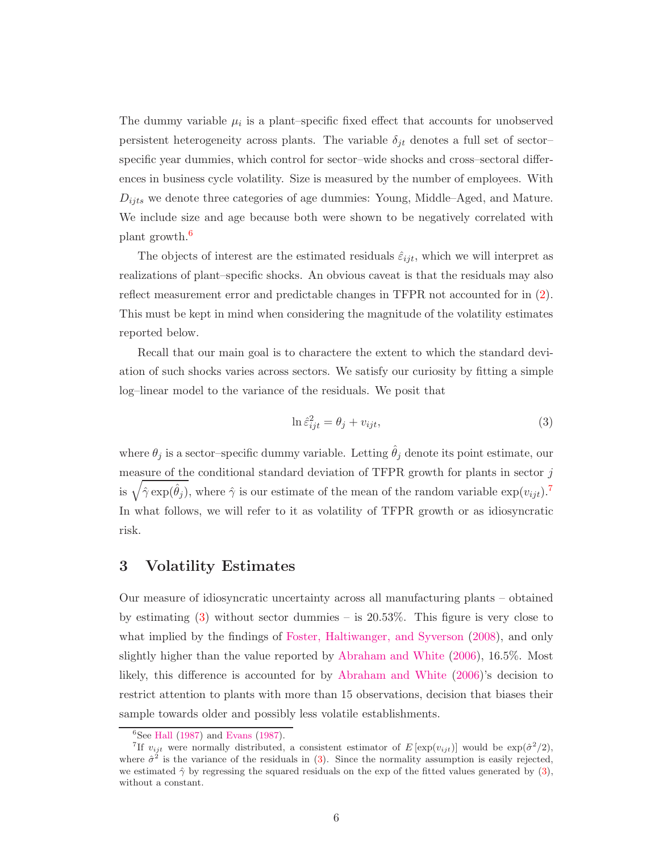The dummy variable  $\mu_i$  is a plant–specific fixed effect that accounts for unobserved persistent heterogeneity across plants. The variable  $\delta_{jt}$  denotes a full set of sectorspecific year dummies, which control for sector–wide shocks and cross–sectoral differences in business cycle volatility. Size is measured by the number of employees. With  $D_{ijts}$  we denote three categories of age dummies: Young, Middle–Aged, and Mature. We include size and age because both were shown to be negatively correlated with plant growth.[6](#page-6-1)

The objects of interest are the estimated residuals  $\hat{\varepsilon}_{ijt}$ , which we will interpret as realizations of plant–specific shocks. An obvious caveat is that the residuals may also reflect measurement error and predictable changes in TFPR not accounted for in [\(2\)](#page-5-1). This must be kept in mind when considering the magnitude of the volatility estimates reported below.

Recall that our main goal is to charactere the extent to which the standard deviation of such shocks varies across sectors. We satisfy our curiosity by fitting a simple log–linear model to the variance of the residuals. We posit that

<span id="page-6-3"></span>
$$
\ln \hat{\varepsilon}_{ijt}^2 = \theta_j + v_{ijt},\tag{3}
$$

where  $\theta_i$  is a sector–specific dummy variable. Letting  $\hat{\theta}_i$  denote its point estimate, our measure of the conditional standard deviation of TFPR growth for plants in sector  $j$ is  $\sqrt{\hat{\gamma} \exp(\hat{\theta}_j)}$ , where  $\hat{\gamma}$  is our estimate of the mean of the random variable  $\exp(v_{ijt})$ .<sup>[7](#page-6-2)</sup> In what follows, we will refer to it as volatility of TFPR growth or as idiosyncratic risk.

## <span id="page-6-0"></span>3 Volatility Estimates

Our measure of idiosyncratic uncertainty across all manufacturing plants – obtained by estimating  $(3)$  without sector dummies – is  $20.53\%$ . This figure is very close to what implied by the findings of [Foster, Haltiwanger, and Syverson](#page-31-5) [\(2008\)](#page-31-5), and only slightly higher than the value reported by [Abraham and White](#page-28-1) [\(2006\)](#page-28-1), 16.5%. Most likely, this difference is accounted for by [Abraham and White](#page-28-1) [\(2006\)](#page-28-1)'s decision to restrict attention to plants with more than 15 observations, decision that biases their sample towards older and possibly less volatile establishments.

<span id="page-6-1"></span> ${}^{6}$ See [Hall](#page-31-6) [\(1987](#page-31-7)) and [Evans](#page-31-7) (1987).

<span id="page-6-2"></span><sup>&</sup>lt;sup>7</sup>If  $v_{ijt}$  were normally distributed, a consistent estimator of  $E[\exp(v_{ijt})]$  would be  $\exp(\hat{\sigma}^2/2)$ , where  $\hat{\sigma}^2$  is the variance of the residuals in [\(3\)](#page-6-3). Since the normality assumption is easily rejected, we estimated  $\hat{\gamma}$  by regressing the squared residuals on the exp of the fitted values generated by [\(3\)](#page-6-3), without a constant.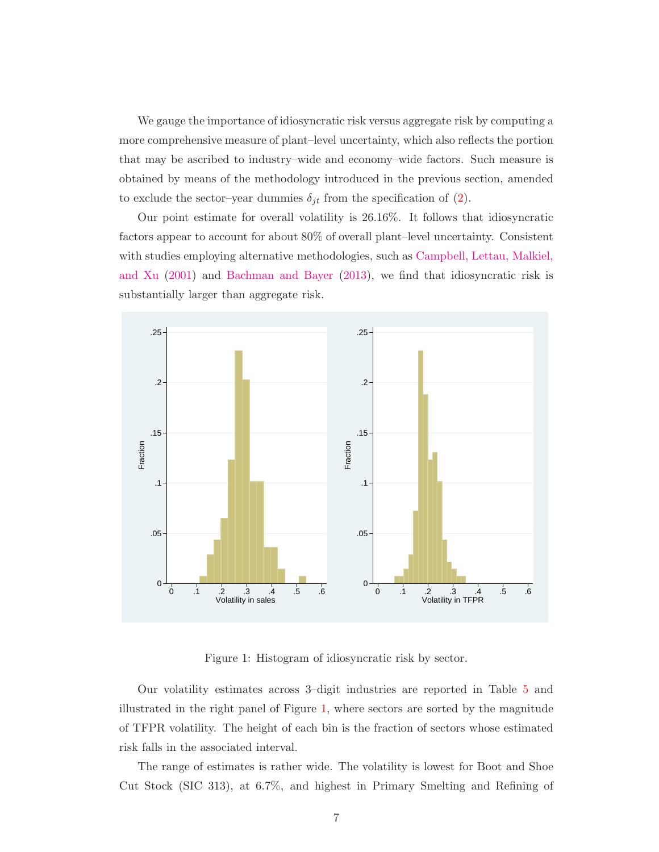We gauge the importance of idiosyncratic risk versus aggregate risk by computing a more comprehensive measure of plant–level uncertainty, which also reflects the portion that may be ascribed to industry–wide and economy–wide factors. Such measure is obtained by means of the methodology introduced in the previous section, amended to exclude the sector–year dummies  $\delta_{jt}$  from the specification of [\(2\)](#page-5-1).

Our point estimate for overall volatility is 26.16%. It follows that idiosyncratic factors appear to account for about 80% of overall plant–level uncertainty. Consistent with st[udies employing alternative methodologies, such as](#page-29-7) Campbell, Lettau, Malkiel, and Xu [\(2001](#page-29-7)) and [Bachman and Bayer](#page-29-6) [\(2013\)](#page-29-6), we find that idiosyncratic risk is substantially larger than aggregate risk.



<span id="page-7-0"></span>Figure 1: Histogram of idiosyncratic risk by sector.

Our volatility estimates across 3–digit industries are reported in Table [5](#page-24-0) and illustrated in the right panel of Figure [1,](#page-7-0) where sectors are sorted by the magnitude of TFPR volatility. The height of each bin is the fraction of sectors whose estimated risk falls in the associated interval.

The range of estimates is rather wide. The volatility is lowest for Boot and Shoe Cut Stock (SIC 313), at 6.7%, and highest in Primary Smelting and Refining of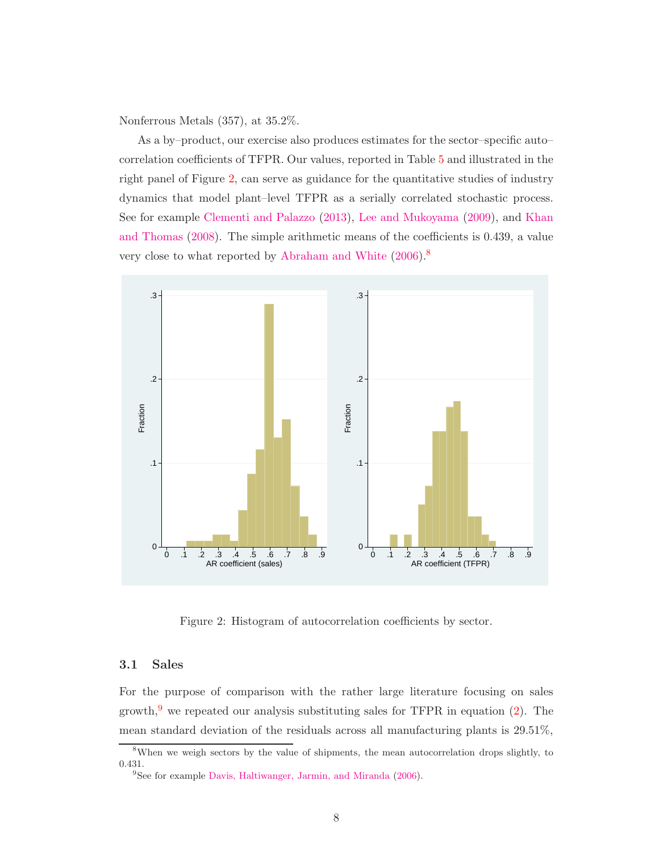Nonferrous Metals (357), at 35.2%.

As a by–product, our exercise also produces estimates for the sector–specific auto– correlation coefficients of TFPR. Our values, reported in Table [5](#page-24-0) and illustrated in the right panel of Figure [2,](#page-8-0) can serve as guidance for the quantitative studies of industry dynamics that model plant–level TFPR as a serially correlated stochastic process. See for example [Clementi and Palazzo](#page-30-8) [\(2013](#page-30-8)), [Lee and Mukoyama](#page-32-4) [\(2009](#page-32-4)), and Khan and Thomas [\(2008](#page-31-8)). The simple arithmetic means of the coefficients is 0.439, a value very close to what reported by [Abraham and White](#page-28-1) [\(2006\)](#page-28-1).[8](#page-8-1)



<span id="page-8-0"></span>Figure 2: Histogram of autocorrelation coefficients by sector.

#### 3.1 Sales

For the purpose of comparison with the rather large literature focusing on sales growth,<sup>[9](#page-8-2)</sup> we repeated our analysis substituting sales for TFPR in equation  $(2)$ . The mean standard deviation of the residuals across all manufacturing plants is 29.51%,

<sup>8</sup>When we weigh sectors by the value of shipments, the mean autocorrelation drops slightly, to 0.431.

<span id="page-8-2"></span><span id="page-8-1"></span><sup>9</sup> See for example [Davis, Haltiwanger, Jarmin, and Miranda](#page-30-3) [\(2006](#page-30-3)).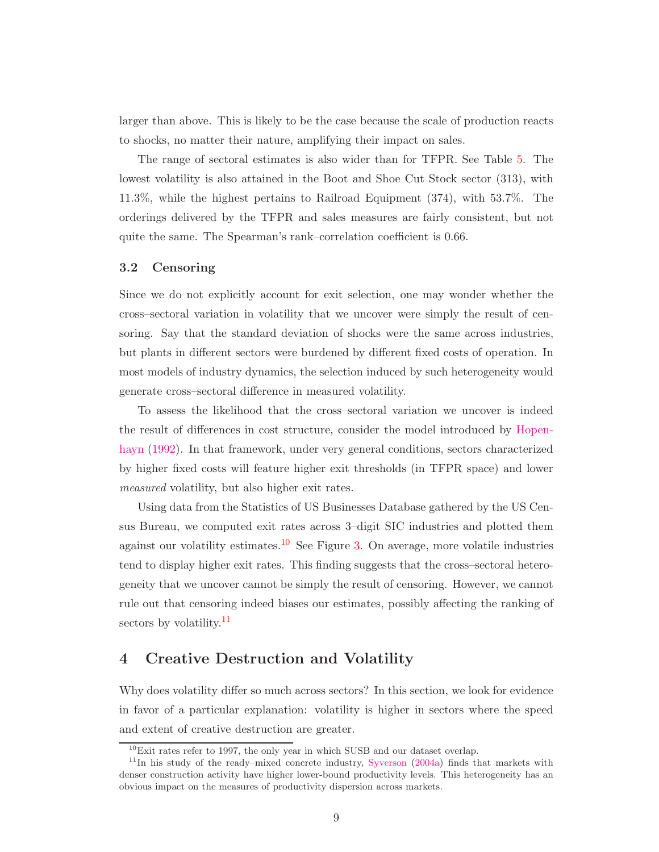larger than above. This is likely to be the case because the scale of production reacts to shocks, no matter their nature, amplifying their impact on sales.

The range of sectoral estimates is also wider than for TFPR. See Table [5.](#page-24-0) The lowest volatility is also attained in the Boot and Shoe Cut Stock sector (313), with 11.3%, while the highest pertains to Railroad Equipment (374), with 53.7%. The orderings delivered by the TFPR and sales measures are fairly consistent, but not quite the same. The Spearman's rank–correlation coefficient is 0.66.

#### 3.2 Censoring

Since we do not explicitly account for exit selection, one may wonder whether the cross–sectoral variation in volatility that we uncover were simply the result of censoring. Say that the standard deviation of shocks were the same across industries, but plants in different sectors were burdened by different fixed costs of operation. In most models of industry dynamics, the selection induced by such heterogeneity would generate cross–sectoral difference in measured volatility.

To assess the likelihood that the cross–sectoral variation we uncover is indeed the [result of differences in cost structure, consider the model introduced by](#page-31-1) Hopenhayn [\(1992](#page-31-1)). In that framework, under very general conditions, sectors characterized by higher fixed costs will feature higher exit thresholds (in TFPR space) and lower measured volatility, but also higher exit rates.

Using data from the Statistics of US Businesses Database gathered by the US Census Bureau, we computed exit rates across 3–digit SIC industries and plotted them against our volatility estimates.<sup>[10](#page-9-1)</sup> See Figure [3.](#page-10-0) On average, more volatile industries tend to display higher exit rates. This finding suggests that the cross–sectoral heterogeneity that we uncover cannot be simply the result of censoring. However, we cannot rule out that censoring indeed biases our estimates, possibly affecting the ranking of sectors by volatility.<sup>[11](#page-9-2)</sup>

# <span id="page-9-0"></span>4 Creative Destruction and Volatility

Why does volatility differ so much across sectors? In this section, we look for evidence in favor of a particular explanation: volatility is higher in sectors where the speed and extent of creative destruction are greater.

<span id="page-9-1"></span><sup>10</sup>Exit rates refer to 1997, the only year in which SUSB and our dataset overlap.

<span id="page-9-2"></span> $11$ In his study of the ready–mixed concrete industry, [Syverson](#page-32-3) [\(2004a\)](#page-32-3) finds that markets with denser construction activity have higher lower-bound productivity levels. This heterogeneity has an obvious impact on the measures of productivity dispersion across markets.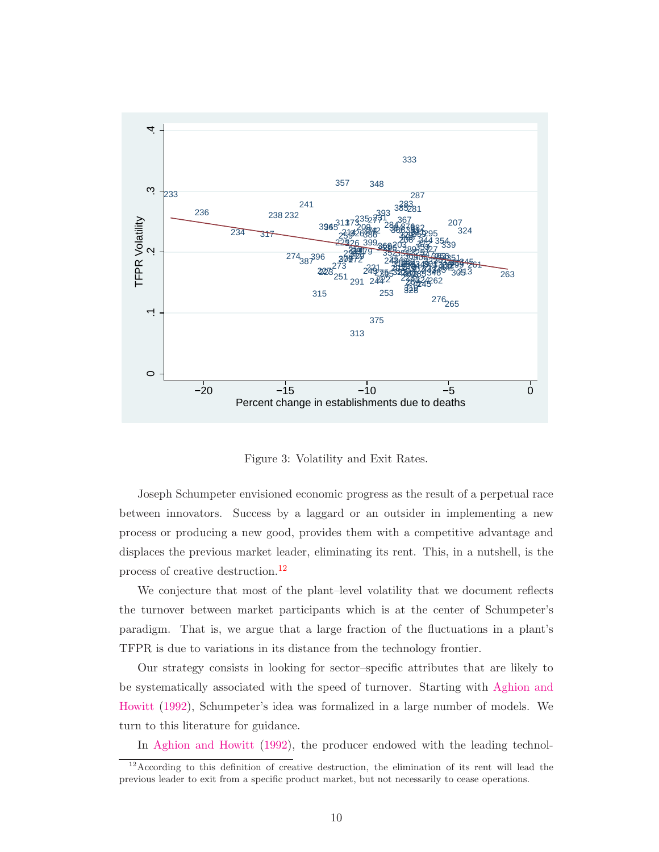

<span id="page-10-0"></span>Figure 3: Volatility and Exit Rates.

Joseph Schumpeter envisioned economic progress as the result of a perpetual race between innovators. Success by a laggard or an outsider in implementing a new process or producing a new good, provides them with a competitive advantage and displaces the previous market leader, eliminating its rent. This, in a nutshell, is the process of creative destruction.[12](#page-10-1)

We conjecture that most of the plant–level volatility that we document reflects the turnover between market participants which is at the center of Schumpeter's paradigm. That is, we argue that a large fraction of the fluctuations in a plant's TFPR is due to variations in its distance from the technology frontier.

Our strategy consists in looking for sector–specific attributes that are likely to be sys[tematically associated with the speed of turnover. Starting with](#page-28-0) Aghion and Howitt [\(1992\)](#page-28-0), Schumpeter's idea was formalized in a large number of models. We turn to this literature for guidance.

In [Aghion and Howitt](#page-28-0) [\(1992](#page-28-0)), the producer endowed with the leading technol-

<span id="page-10-1"></span><sup>&</sup>lt;sup>12</sup> According to this definition of creative destruction, the elimination of its rent will lead the previous leader to exit from a specific product market, but not necessarily to cease operations.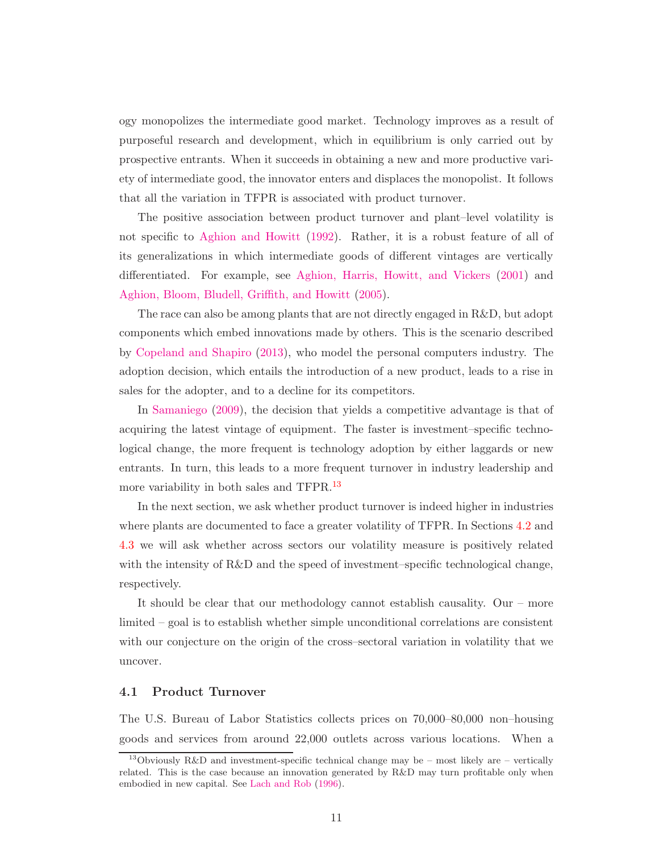ogy monopolizes the intermediate good market. Technology improves as a result of purposeful research and development, which in equilibrium is only carried out by prospective entrants. When it succeeds in obtaining a new and more productive variety of intermediate good, the innovator enters and displaces the monopolist. It follows that all the variation in TFPR is associated with product turnover.

The positive association between product turnover and plant–level volatility is not specific to [Aghion and Howitt](#page-28-0) [\(1992](#page-28-0)). Rather, it is a robust feature of all of its generalizations in which intermediate goods of different vintages are vertically differentiated. For example, see [Aghion, Harris, Howitt, and Vickers](#page-28-2) [\(2001\)](#page-28-2) and [Aghion, Bloom, Bludell, Griffith, and Howitt](#page-28-3) [\(2005](#page-28-3)).

The race can also be among plants that are not directly engaged in R&D, but adopt components which embed innovations made by others. This is the scenario described by [Copeland and Shapiro](#page-30-9) [\(2013](#page-30-9)), who model the personal computers industry. The adoption decision, which entails the introduction of a new product, leads to a rise in sales for the adopter, and to a decline for its competitors.

In [Samaniego](#page-32-5) [\(2009](#page-32-5)), the decision that yields a competitive advantage is that of acquiring the latest vintage of equipment. The faster is investment–specific technological change, the more frequent is technology adoption by either laggards or new entrants. In turn, this leads to a more frequent turnover in industry leadership and more variability in both sales and TFPR.<sup>[13](#page-11-0)</sup>

In the next section, we ask whether product turnover is indeed higher in industries where plants are documented to face a greater volatility of TFPR. In Sections [4.2](#page-13-0) and [4.3](#page-15-0) we will ask whether across sectors our volatility measure is positively related with the intensity of  $R\&D$  and the speed of investment–specific technological change, respectively.

It should be clear that our methodology cannot establish causality. Our – more limited – goal is to establish whether simple unconditional correlations are consistent with our conjecture on the origin of the cross–sectoral variation in volatility that we uncover.

## 4.1 Product Turnover

The U.S. Bureau of Labor Statistics collects prices on 70,000–80,000 non–housing goods and services from around 22,000 outlets across various locations. When a

<span id="page-11-0"></span><sup>&</sup>lt;sup>13</sup>Obviously R&D and investment-specific technical change may be – most likely are – vertically related. This is the case because an innovation generated by R&D may turn profitable only when embodied in new capital. See [Lach and Rob](#page-31-9) [\(1996](#page-31-9)).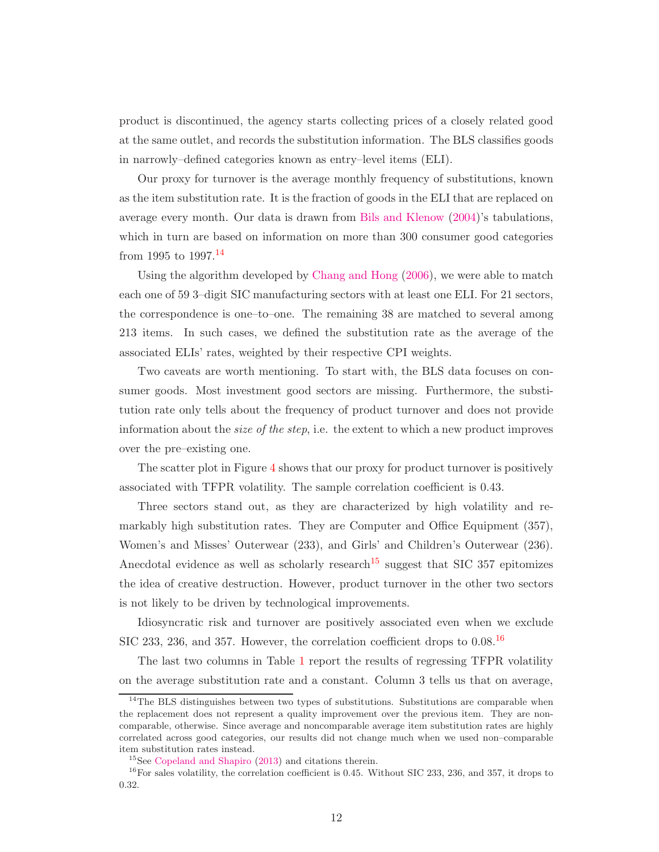product is discontinued, the agency starts collecting prices of a closely related good at the same outlet, and records the substitution information. The BLS classifies goods in narrowly–defined categories known as entry–level items (ELI).

Our proxy for turnover is the average monthly frequency of substitutions, known as the item substitution rate. It is the fraction of goods in the ELI that are replaced on average every month. Our data is drawn from [Bils and Klenow](#page-29-8) [\(2004](#page-29-8))'s tabulations, which in turn are based on information on more than 300 consumer good categories from 1995 to  $1997.<sup>14</sup>$  $1997.<sup>14</sup>$  $1997.<sup>14</sup>$ 

Using the algorithm developed by [Chang and Hong](#page-30-10) [\(2006\)](#page-30-10), we were able to match each one of 59 3–digit SIC manufacturing sectors with at least one ELI. For 21 sectors, the correspondence is one–to–one. The remaining 38 are matched to several among 213 items. In such cases, we defined the substitution rate as the average of the associated ELIs' rates, weighted by their respective CPI weights.

Two caveats are worth mentioning. To start with, the BLS data focuses on consumer goods. Most investment good sectors are missing. Furthermore, the substitution rate only tells about the frequency of product turnover and does not provide information about the size of the step, i.e. the extent to which a new product improves over the pre–existing one.

The scatter plot in Figure [4](#page-13-1) shows that our proxy for product turnover is positively associated with TFPR volatility. The sample correlation coefficient is 0.43.

Three sectors stand out, as they are characterized by high volatility and remarkably high substitution rates. They are Computer and Office Equipment (357), Women's and Misses' Outerwear (233), and Girls' and Children's Outerwear (236). Anecdotal evidence as well as scholarly research<sup>[15](#page-12-1)</sup> suggest that SIC 357 epitomizes the idea of creative destruction. However, product turnover in the other two sectors is not likely to be driven by technological improvements.

Idiosyncratic risk and turnover are positively associated even when we exclude SIC 233, 236, and 357. However, the correlation coefficient drops to 0.08.<sup>[16](#page-12-2)</sup>

The last two columns in Table [1](#page-14-0) report the results of regressing TFPR volatility on the average substitution rate and a constant. Column 3 tells us that on average,

<span id="page-12-0"></span><sup>&</sup>lt;sup>14</sup>The BLS distinguishes between two types of substitutions. Substitutions are comparable when the replacement does not represent a quality improvement over the previous item. They are noncomparable, otherwise. Since average and noncomparable average item substitution rates are highly correlated across good categories, our results did not change much when we used non–comparable item substitution rates instead.

<span id="page-12-1"></span><sup>15</sup>See [Copeland and Shapiro](#page-30-9) [\(2013\)](#page-30-9) and citations therein.

<span id="page-12-2"></span> $16$  For sales volatility, the correlation coefficient is 0.45. Without SIC 233, 236, and 357, it drops to 0.32.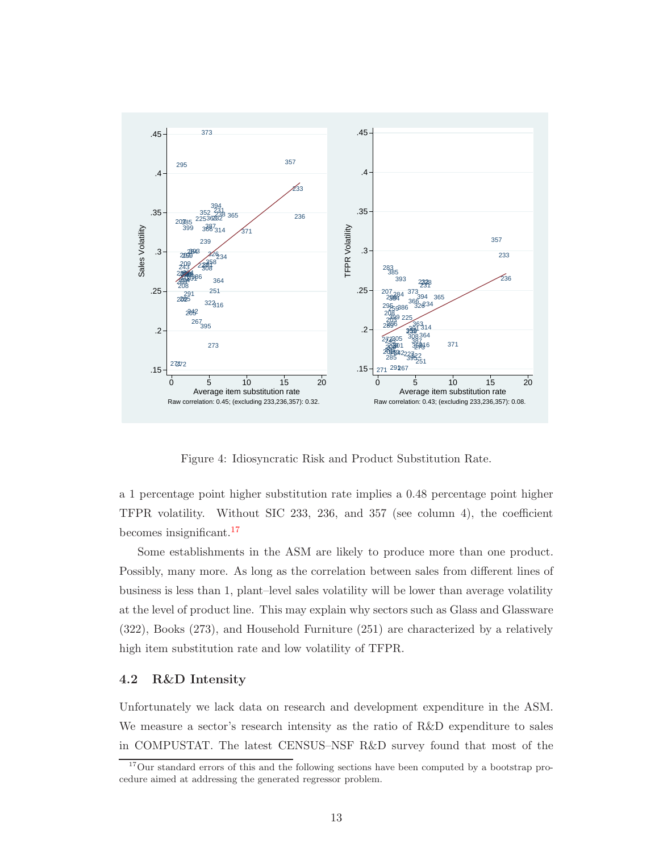

<span id="page-13-1"></span>Figure 4: Idiosyncratic Risk and Product Substitution Rate.

a 1 percentage point higher substitution rate implies a 0.48 percentage point higher TFPR volatility. Without SIC 233, 236, and 357 (see column 4), the coefficient becomes insignificant.[17](#page-13-2)

Some establishments in the ASM are likely to produce more than one product. Possibly, many more. As long as the correlation between sales from different lines of business is less than 1, plant–level sales volatility will be lower than average volatility at the level of product line. This may explain why sectors such as Glass and Glassware (322), Books (273), and Household Furniture (251) are characterized by a relatively high item substitution rate and low volatility of TFPR.

## <span id="page-13-0"></span>4.2 R&D Intensity

Unfortunately we lack data on research and development expenditure in the ASM. We measure a sector's research intensity as the ratio of R&D expenditure to sales in COMPUSTAT. The latest CENSUS–NSF R&D survey found that most of the

<span id="page-13-2"></span><sup>&</sup>lt;sup>17</sup>Our standard errors of this and the following sections have been computed by a bootstrap procedure aimed at addressing the generated regressor problem.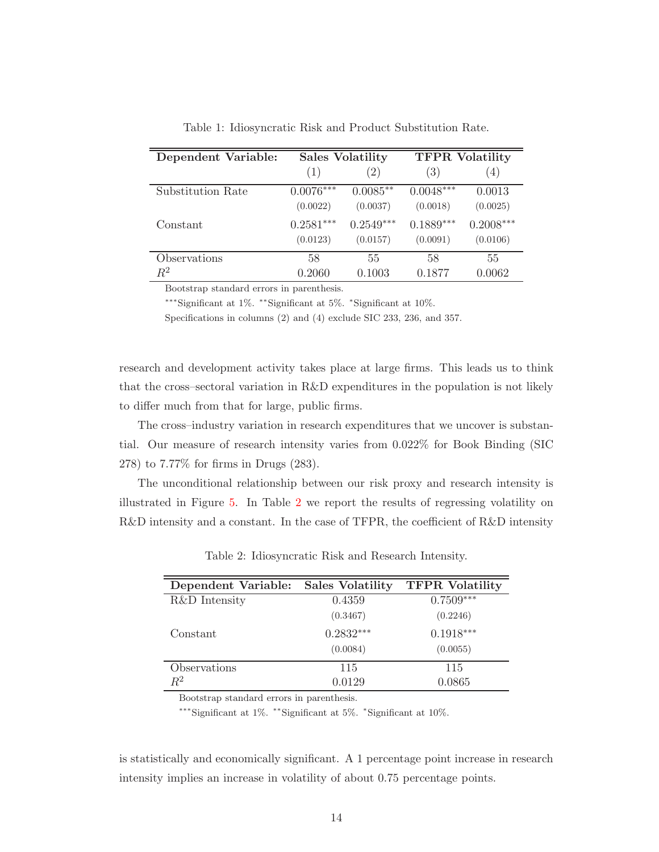| Dependent Variable: |                         | <b>Sales Volatility</b> | <b>TFPR Volatility</b>  |                         |  |
|---------------------|-------------------------|-------------------------|-------------------------|-------------------------|--|
|                     | (1)                     | $\left( 2\right)$       | (3)                     | (4)                     |  |
| Substitution Rate   | $0.0076***$<br>(0.0022) | $0.0085**$<br>(0.0037)  | $0.0048***$<br>(0.0018) | 0.0013<br>(0.0025)      |  |
| Constant            | $0.2581***$<br>(0.0123) | $0.2549***$<br>(0.0157) | $0.1889***$<br>(0.0091) | $0.2008***$<br>(0.0106) |  |
| Observations        | 58                      | 55                      | 58                      | 55                      |  |
| $\,R^2$             | 0.2060                  | 0.1003                  | 0.1877                  | 0.0062                  |  |

<span id="page-14-0"></span>Table 1: Idiosyncratic Risk and Product Substitution Rate.

Bootstrap standard errors in parenthesis.

∗∗∗Significant at 1%. ∗∗Significant at 5%. <sup>∗</sup> Significant at 10%.

Specifications in columns (2) and (4) exclude SIC 233, 236, and 357.

research and development activity takes place at large firms. This leads us to think that the cross–sectoral variation in R&D expenditures in the population is not likely to differ much from that for large, public firms.

The cross–industry variation in research expenditures that we uncover is substantial. Our measure of research intensity varies from 0.022% for Book Binding (SIC 278) to 7.77% for firms in Drugs (283).

The unconditional relationship between our risk proxy and research intensity is illustrated in Figure [5.](#page-15-1) In Table [2](#page-14-1) we report the results of regressing volatility on R&D intensity and a constant. In the case of TFPR, the coefficient of R&D intensity

| Dependent Variable: | <b>Sales Volatility</b> | <b>TFPR Volatility</b> |
|---------------------|-------------------------|------------------------|
| R&D Intensity       | 0.4359                  | $0.7509***$            |
|                     | (0.3467)                | (0.2246)               |
| Constant            | $0.2832***$             | $0.1918***$            |
|                     | (0.0084)                | (0.0055)               |
| Observations        | 115                     | 115                    |
| $R^2$               | 0.0129                  | 0.0865                 |

<span id="page-14-1"></span>Table 2: Idiosyncratic Risk and Research Intensity.

Bootstrap standard errors in parenthesis.

∗∗∗Significant at 1%. ∗∗Significant at 5%. <sup>∗</sup> Significant at 10%.

is statistically and economically significant. A 1 percentage point increase in research intensity implies an increase in volatility of about 0.75 percentage points.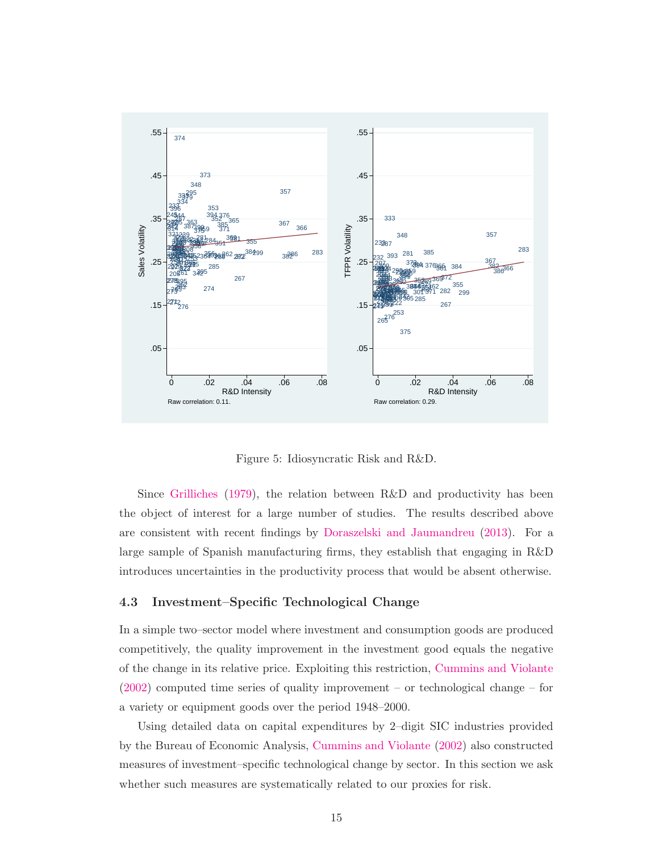

<span id="page-15-1"></span>Figure 5: Idiosyncratic Risk and R&D.

Since [Grilliches](#page-31-10) [\(1979\)](#page-31-10), the relation between R&D and productivity has been the object of interest for a large number of studies. The results described above are consistent with recent findings by [Doraszelski and Jaumandreu](#page-31-11) [\(2013\)](#page-31-11). For a large sample of Spanish manufacturing firms, they establish that engaging in R&D introduces uncertainties in the productivity process that would be absent otherwise.

## <span id="page-15-0"></span>4.3 Investment–Specific Technological Change

In a simple two–sector model where investment and consumption goods are produced competitively, the quality improvement in the investment good equals the negative of the change in its relative price. Exploiting this restriction, [Cummins and Violante](#page-30-11) [\(2002\)](#page-30-11) computed time series of quality improvement – or technological change – for a variety or equipment goods over the period 1948–2000.

Using detailed data on capital expenditures by 2–digit SIC industries provided by the Bureau of Economic Analysis, [Cummins and Violante](#page-30-11) [\(2002\)](#page-30-11) also constructed measures of investment–specific technological change by sector. In this section we ask whether such measures are systematically related to our proxies for risk.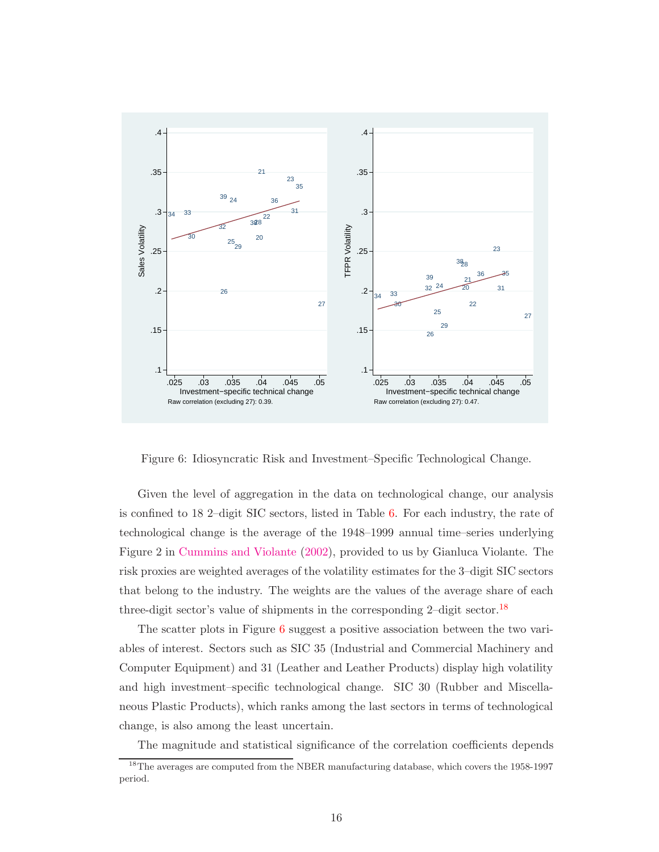

<span id="page-16-1"></span>Figure 6: Idiosyncratic Risk and Investment–Specific Technological Change.

Given the level of aggregation in the data on technological change, our analysis is confined to 18 2–digit SIC sectors, listed in Table [6.](#page-28-4) For each industry, the rate of technological change is the average of the 1948–1999 annual time–series underlying Figure 2 in [Cummins and Violante](#page-30-11) [\(2002\)](#page-30-11), provided to us by Gianluca Violante. The risk proxies are weighted averages of the volatility estimates for the 3–digit SIC sectors that belong to the industry. The weights are the values of the average share of each three-digit sector's value of shipments in the corresponding  $2$ -digit sector.<sup>[18](#page-16-0)</sup>

The scatter plots in Figure [6](#page-16-1) suggest a positive association between the two variables of interest. Sectors such as SIC 35 (Industrial and Commercial Machinery and Computer Equipment) and 31 (Leather and Leather Products) display high volatility and high investment–specific technological change. SIC 30 (Rubber and Miscellaneous Plastic Products), which ranks among the last sectors in terms of technological change, is also among the least uncertain.

The magnitude and statistical significance of the correlation coefficients depends

<span id="page-16-0"></span><sup>&</sup>lt;sup>18</sup>The averages are computed from the NBER manufacturing database, which covers the 1958-1997 period.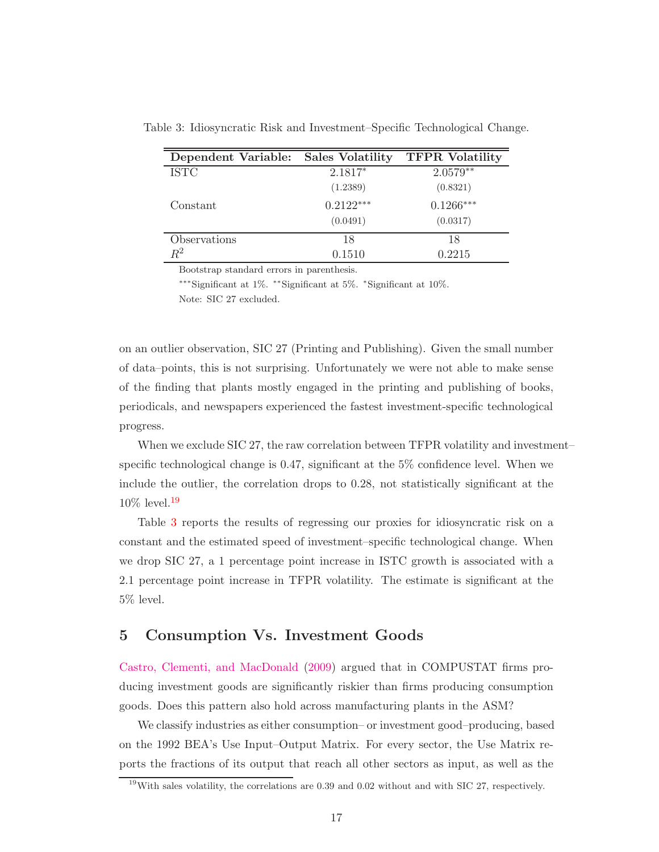<span id="page-17-2"></span>

| Dependent Variable: Sales Volatility |             | <b>TFPR</b> Volatility |
|--------------------------------------|-------------|------------------------|
| <b>ISTC</b>                          | 2.1817*     | $2.0579**$             |
|                                      | (1.2389)    | (0.8321)               |
| Constant                             | $0.2122***$ | $0.1266***$            |
|                                      | (0.0491)    | (0.0317)               |
| Observations                         | 18          | 18                     |
| $R^2$                                | 0.1510      | 0.2215                 |

Table 3: Idiosyncratic Risk and Investment–Specific Technological Change.

Bootstrap standard errors in parenthesis.

∗∗∗Significant at 1%. ∗∗Significant at 5%. <sup>∗</sup> Significant at 10%. Note: SIC 27 excluded.

on an outlier observation, SIC 27 (Printing and Publishing). Given the small number of data–points, this is not surprising. Unfortunately we were not able to make sense of the finding that plants mostly engaged in the printing and publishing of books, periodicals, and newspapers experienced the fastest investment-specific technological progress.

When we exclude SIC 27, the raw correlation between TFPR volatility and investment– specific technological change is 0.47, significant at the 5% confidence level. When we include the outlier, the correlation drops to 0.28, not statistically significant at the  $10\%$  level.<sup>[19](#page-17-1)</sup>

Table [3](#page-17-2) reports the results of regressing our proxies for idiosyncratic risk on a constant and the estimated speed of investment–specific technological change. When we drop SIC 27, a 1 percentage point increase in ISTC growth is associated with a 2.1 percentage point increase in TFPR volatility. The estimate is significant at the 5% level.

# <span id="page-17-0"></span>5 Consumption Vs. Investment Goods

Castro, Clementi, and MacDonald [\(2009](#page-30-4)) argued that in COMPUSTAT firms producing investment goods are significantly riskier than firms producing consumption goods. Does this pattern also hold across manufacturing plants in the ASM?

We classify industries as either consumption– or investment good–producing, based on the 1992 BEA's Use Input–Output Matrix. For every sector, the Use Matrix reports the fractions of its output that reach all other sectors as input, as well as the

<span id="page-17-1"></span><sup>&</sup>lt;sup>19</sup>With sales volatility, the correlations are  $0.39$  and  $0.02$  without and with SIC 27, respectively.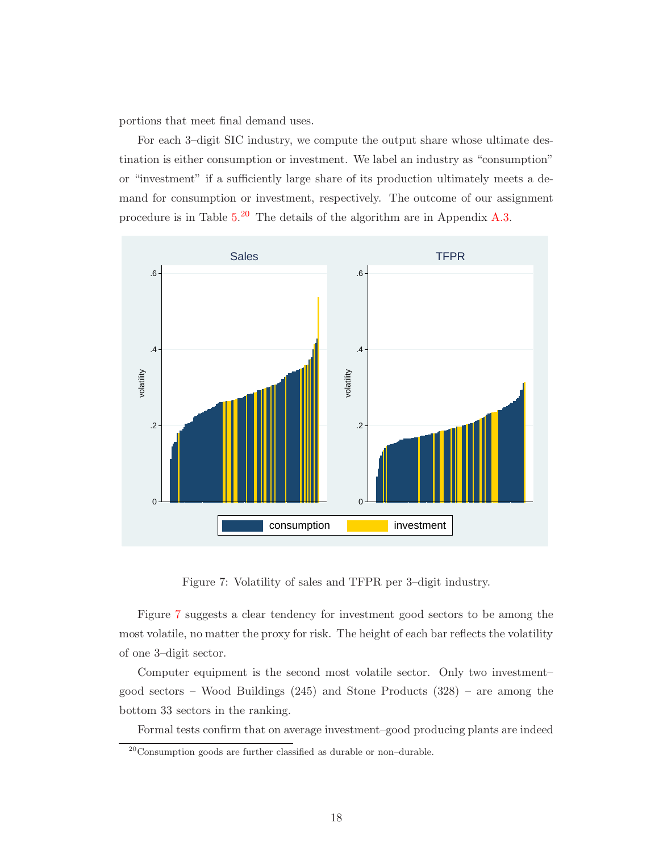portions that meet final demand uses.

For each 3–digit SIC industry, we compute the output share whose ultimate destination is either consumption or investment. We label an industry as "consumption" or "investment" if a sufficiently large share of its production ultimately meets a demand for consumption or investment, respectively. The outcome of our assignment procedure is in Table [5.](#page-24-0)<sup>[20](#page-18-0)</sup> The details of the algorithm are in Appendix [A.3.](#page-23-0)



<span id="page-18-1"></span>Figure 7: Volatility of sales and TFPR per 3–digit industry.

Figure [7](#page-18-1) suggests a clear tendency for investment good sectors to be among the most volatile, no matter the proxy for risk. The height of each bar reflects the volatility of one 3–digit sector.

Computer equipment is the second most volatile sector. Only two investment– good sectors – Wood Buildings (245) and Stone Products (328) – are among the bottom 33 sectors in the ranking.

Formal tests confirm that on average investment–good producing plants are indeed

<span id="page-18-0"></span> $20$ Consumption goods are further classified as durable or non-durable.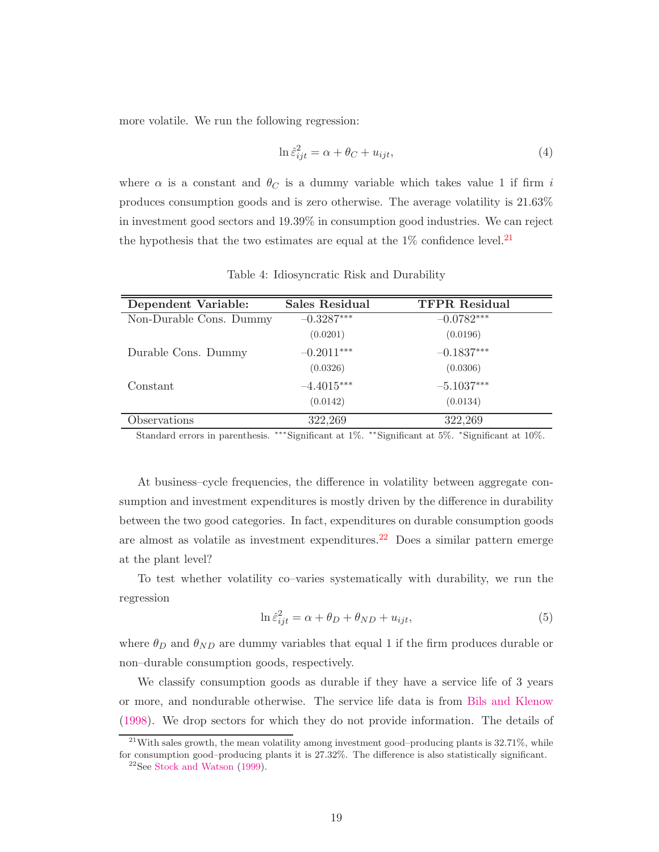more volatile. We run the following regression:

$$
\ln \hat{\varepsilon}_{ijt}^2 = \alpha + \theta_C + u_{ijt},\tag{4}
$$

where  $\alpha$  is a constant and  $\theta_C$  is a dummy variable which takes value 1 if firm i produces consumption goods and is zero otherwise. The average volatility is 21.63% in investment good sectors and 19.39% in consumption good industries. We can reject the hypothesis that the two estimates are equal at the  $1\%$  confidence level.<sup>[21](#page-19-0)</sup>

| Dependent Variable:     | <b>Sales Residual</b> | <b>TFPR</b> Residual |
|-------------------------|-----------------------|----------------------|
| Non-Durable Cons. Dummy | $-0.3287***$          | $-0.0782***$         |
|                         | (0.0201)              | (0.0196)             |
| Durable Cons. Dummy     | $-0.2011***$          | $-0.1837***$         |
|                         | (0.0326)              | (0.0306)             |
| Constant                | $-4.4015***$          | $-5.1037***$         |
|                         | (0.0142)              | (0.0134)             |
| Observations            | 322,269               | 322,269              |

<span id="page-19-2"></span>Table 4: Idiosyncratic Risk and Durability

Standard errors in parenthesis. ∗∗∗Significant at 1%. ∗∗Significant at 5%. <sup>∗</sup>Significant at 10%.

At business–cycle frequencies, the difference in volatility between aggregate consumption and investment expenditures is mostly driven by the difference in durability between the two good categories. In fact, expenditures on durable consumption goods are almost as volatile as investment expenditures.<sup>[22](#page-19-1)</sup> Does a similar pattern emerge at the plant level?

To test whether volatility co–varies systematically with durability, we run the regression

$$
\ln \hat{\varepsilon}_{ijt}^2 = \alpha + \theta_D + \theta_{ND} + u_{ijt},\tag{5}
$$

where  $\theta_D$  and  $\theta_{ND}$  are dummy variables that equal 1 if the firm produces durable or non–durable consumption goods, respectively.

We classify consumption goods as durable if they have a service life of 3 years or more, and nondurable otherwise. The service life data is from [Bils and Klenow](#page-29-9) [\(1998\)](#page-29-9). We drop sectors for which they do not provide information. The details of

<span id="page-19-1"></span><span id="page-19-0"></span> $^{21}$ With sales growth, the mean volatility among investment good–producing plants is 32.71%, while for consumption good–producing plants it is 27.32%. The difference is also statistically significant.  $22$ See [Stock and Watson](#page-32-6) [\(1999](#page-32-6)).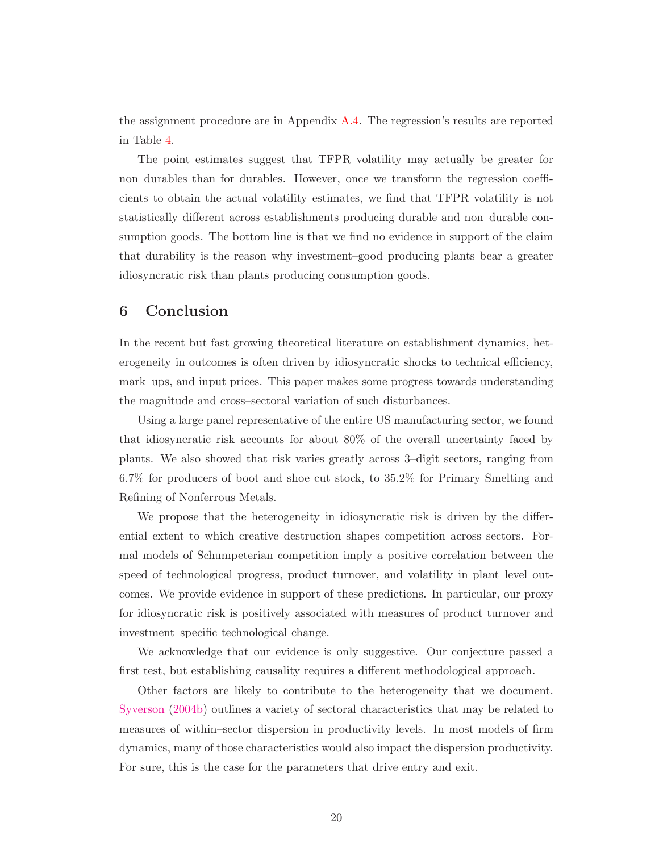the assignment procedure are in Appendix [A.4.](#page-24-1) The regression's results are reported in Table [4.](#page-19-2)

The point estimates suggest that TFPR volatility may actually be greater for non–durables than for durables. However, once we transform the regression coefficients to obtain the actual volatility estimates, we find that TFPR volatility is not statistically different across establishments producing durable and non–durable consumption goods. The bottom line is that we find no evidence in support of the claim that durability is the reason why investment–good producing plants bear a greater idiosyncratic risk than plants producing consumption goods.

# <span id="page-20-0"></span>6 Conclusion

In the recent but fast growing theoretical literature on establishment dynamics, heterogeneity in outcomes is often driven by idiosyncratic shocks to technical efficiency, mark–ups, and input prices. This paper makes some progress towards understanding the magnitude and cross–sectoral variation of such disturbances.

Using a large panel representative of the entire US manufacturing sector, we found that idiosyncratic risk accounts for about 80% of the overall uncertainty faced by plants. We also showed that risk varies greatly across 3–digit sectors, ranging from 6.7% for producers of boot and shoe cut stock, to 35.2% for Primary Smelting and Refining of Nonferrous Metals.

We propose that the heterogeneity in idiosyncratic risk is driven by the differential extent to which creative destruction shapes competition across sectors. Formal models of Schumpeterian competition imply a positive correlation between the speed of technological progress, product turnover, and volatility in plant–level outcomes. We provide evidence in support of these predictions. In particular, our proxy for idiosyncratic risk is positively associated with measures of product turnover and investment–specific technological change.

We acknowledge that our evidence is only suggestive. Our conjecture passed a first test, but establishing causality requires a different methodological approach.

Other factors are likely to contribute to the heterogeneity that we document. [Syverson](#page-32-7) [\(2004b\)](#page-32-7) outlines a variety of sectoral characteristics that may be related to measures of within–sector dispersion in productivity levels. In most models of firm dynamics, many of those characteristics would also impact the dispersion productivity. For sure, this is the case for the parameters that drive entry and exit.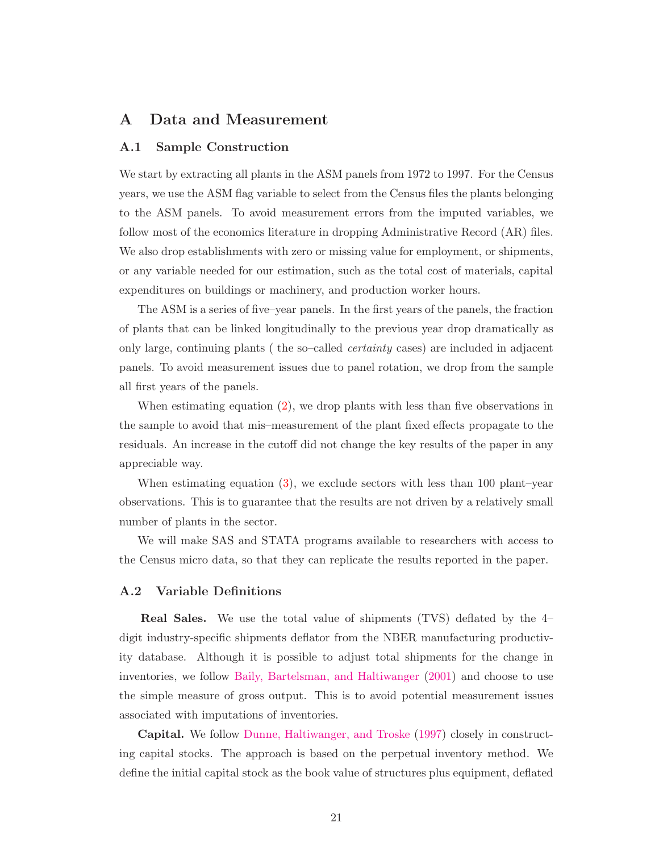# A Data and Measurement

## A.1 Sample Construction

We start by extracting all plants in the ASM panels from 1972 to 1997. For the Census years, we use the ASM flag variable to select from the Census files the plants belonging to the ASM panels. To avoid measurement errors from the imputed variables, we follow most of the economics literature in dropping Administrative Record (AR) files. We also drop establishments with zero or missing value for employment, or shipments, or any variable needed for our estimation, such as the total cost of materials, capital expenditures on buildings or machinery, and production worker hours.

The ASM is a series of five–year panels. In the first years of the panels, the fraction of plants that can be linked longitudinally to the previous year drop dramatically as only large, continuing plants ( the so–called certainty cases) are included in adjacent panels. To avoid measurement issues due to panel rotation, we drop from the sample all first years of the panels.

When estimating equation [\(2\)](#page-5-1), we drop plants with less than five observations in the sample to avoid that mis–measurement of the plant fixed effects propagate to the residuals. An increase in the cutoff did not change the key results of the paper in any appreciable way.

When estimating equation  $(3)$ , we exclude sectors with less than 100 plant–year observations. This is to guarantee that the results are not driven by a relatively small number of plants in the sector.

We will make SAS and STATA programs available to researchers with access to the Census micro data, so that they can replicate the results reported in the paper.

## <span id="page-21-0"></span>A.2 Variable Definitions

Real Sales. We use the total value of shipments (TVS) deflated by the 4– digit industry-specific shipments deflator from the NBER manufacturing productivity database. Although it is possible to adjust total shipments for the change in inventories, we follow [Baily, Bartelsman, and Haltiwanger](#page-29-3) [\(2001\)](#page-29-3) and choose to use the simple measure of gross output. This is to avoid potential measurement issues associated with imputations of inventories.

Capital. We follow [Dunne, Haltiwanger, and Troske](#page-31-12) [\(1997\)](#page-31-12) closely in constructing capital stocks. The approach is based on the perpetual inventory method. We define the initial capital stock as the book value of structures plus equipment, deflated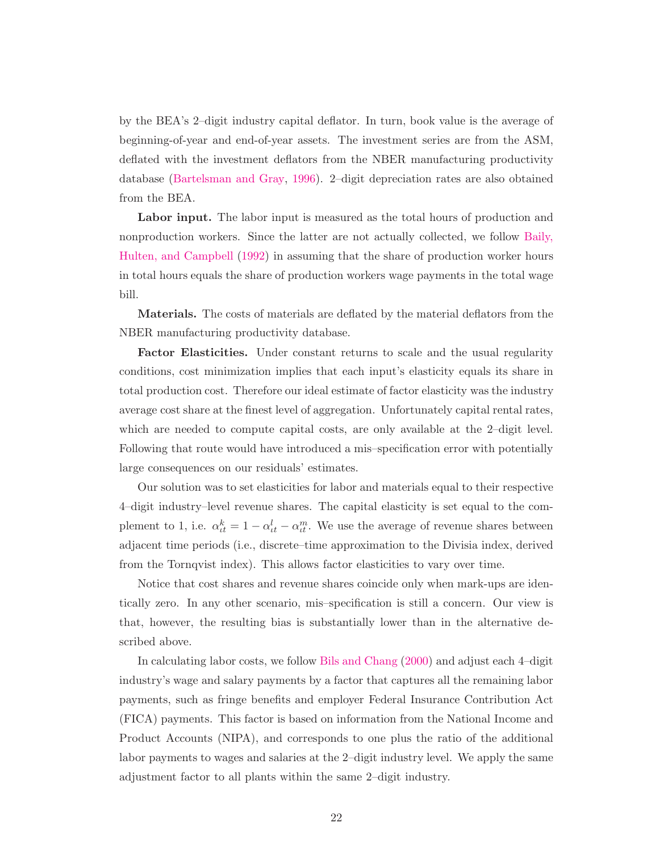by the BEA's 2–digit industry capital deflator. In turn, book value is the average of beginning-of-year and end-of-year assets. The investment series are from the ASM, deflated with the investment deflators from the NBER manufacturing productivity database [\(Bartelsman and Gray](#page-29-10), [1996](#page-29-10)). 2–digit depreciation rates are also obtained from the BEA.

Labor input. The labor input is measured as the total hours of production and nonproduction worker[s. Since the latter are not actually collected, we follow](#page-29-2) Baily, Hulten, and Campbell [\(1992](#page-29-2)) in assuming that the share of production worker hours in total hours equals the share of production workers wage payments in the total wage bill.

Materials. The costs of materials are deflated by the material deflators from the NBER manufacturing productivity database.

Factor Elasticities. Under constant returns to scale and the usual regularity conditions, cost minimization implies that each input's elasticity equals its share in total production cost. Therefore our ideal estimate of factor elasticity was the industry average cost share at the finest level of aggregation. Unfortunately capital rental rates, which are needed to compute capital costs, are only available at the 2-digit level. Following that route would have introduced a mis–specification error with potentially large consequences on our residuals' estimates.

Our solution was to set elasticities for labor and materials equal to their respective 4–digit industry–level revenue shares. The capital elasticity is set equal to the complement to 1, i.e.  $\alpha_{tt}^k = 1 - \alpha_{tt}^l - \alpha_{tt}^m$ . We use the average of revenue shares between adjacent time periods (i.e., discrete–time approximation to the Divisia index, derived from the Tornqvist index). This allows factor elasticities to vary over time.

Notice that cost shares and revenue shares coincide only when mark-ups are identically zero. In any other scenario, mis–specification is still a concern. Our view is that, however, the resulting bias is substantially lower than in the alternative described above.

In calculating labor costs, we follow [Bils and Chang](#page-29-11) [\(2000](#page-29-11)) and adjust each 4–digit industry's wage and salary payments by a factor that captures all the remaining labor payments, such as fringe benefits and employer Federal Insurance Contribution Act (FICA) payments. This factor is based on information from the National Income and Product Accounts (NIPA), and corresponds to one plus the ratio of the additional labor payments to wages and salaries at the 2–digit industry level. We apply the same adjustment factor to all plants within the same 2–digit industry.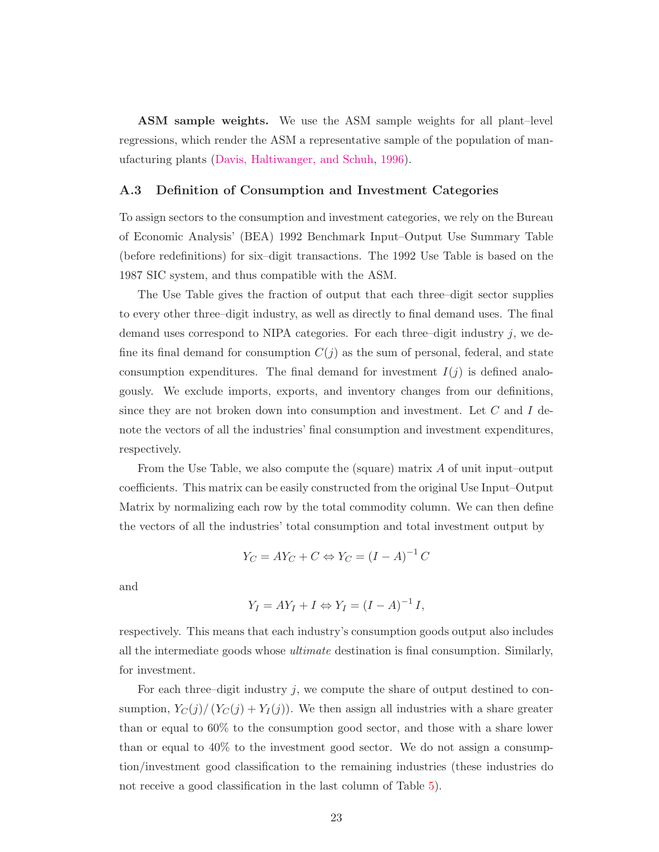ASM sample weights. We use the ASM sample weights for all plant–level regressions, which render the ASM a representative sample of the population of manufacturing plants [\(Davis, Haltiwanger, and Schuh](#page-30-2), [1996](#page-30-2)).

#### <span id="page-23-0"></span>A.3 Definition of Consumption and Investment Categories

To assign sectors to the consumption and investment categories, we rely on the Bureau of Economic Analysis' (BEA) 1992 Benchmark Input–Output Use Summary Table (before redefinitions) for six–digit transactions. The 1992 Use Table is based on the 1987 SIC system, and thus compatible with the ASM.

The Use Table gives the fraction of output that each three–digit sector supplies to every other three–digit industry, as well as directly to final demand uses. The final demand uses correspond to NIPA categories. For each three–digit industry  $j$ , we define its final demand for consumption  $C(j)$  as the sum of personal, federal, and state consumption expenditures. The final demand for investment  $I(j)$  is defined analogously. We exclude imports, exports, and inventory changes from our definitions, since they are not broken down into consumption and investment. Let  $C$  and  $I$  denote the vectors of all the industries' final consumption and investment expenditures, respectively.

From the Use Table, we also compute the (square) matrix A of unit input–output coefficients. This matrix can be easily constructed from the original Use Input–Output Matrix by normalizing each row by the total commodity column. We can then define the vectors of all the industries' total consumption and total investment output by

$$
Y_C = A Y_C + C \Leftrightarrow Y_C = (I - A)^{-1} C
$$

and

$$
Y_I = AY_I + I \Leftrightarrow Y_I = (I - A)^{-1} I,
$$

respectively. This means that each industry's consumption goods output also includes all the intermediate goods whose ultimate destination is final consumption. Similarly, for investment.

For each three–digit industry j, we compute the share of output destined to consumption,  $Y_C(j)/(Y_C(j) + Y_I(j))$ . We then assign all industries with a share greater than or equal to 60% to the consumption good sector, and those with a share lower than or equal to 40% to the investment good sector. We do not assign a consumption/investment good classification to the remaining industries (these industries do not receive a good classification in the last column of Table [5\)](#page-24-0).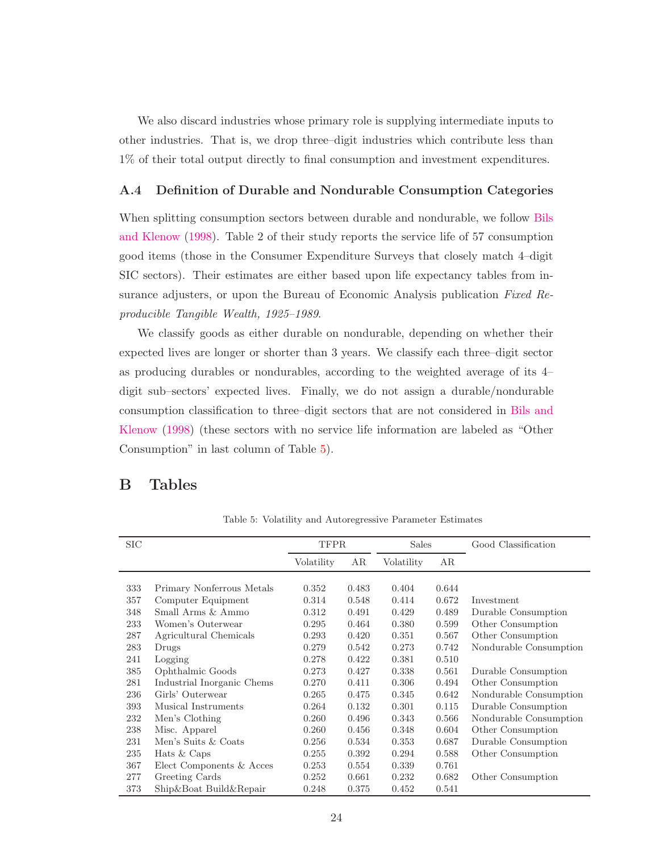We also discard industries whose primary role is supplying intermediate inputs to other industries. That is, we drop three–digit industries which contribute less than 1% of their total output directly to final consumption and investment expenditures.

## <span id="page-24-1"></span>A.4 Definition of Durable and Nondurable Consumption Categories

When splitt[ing consumption sectors between durable and nondurable, we follow](#page-29-9) Bils and Klenow [\(1998\)](#page-29-9). Table 2 of their study reports the service life of 57 consumption good items (those in the Consumer Expenditure Surveys that closely match 4–digit SIC sectors). Their estimates are either based upon life expectancy tables from insurance adjusters, or upon the Bureau of Economic Analysis publication Fixed Reproducible Tangible Wealth, 1925–1989.

We classify goods as either durable on nondurable, depending on whether their expected lives are longer or shorter than 3 years. We classify each three–digit sector as producing durables or nondurables, according to the weighted average of its 4– digit sub–sectors' expected lives. Finally, we do not assign a durable/nondurable consu[mption classification to three–digit sectors that are](#page-29-9) not considered in Bils and Klenow [\(1998](#page-29-9)) (these sectors with no service life information are labeled as "Other Consumption" in last column of Table [5\)](#page-24-0).

# <span id="page-24-0"></span>B Tables

| <b>SIC</b> |                            | <b>TFPR</b> |       | <b>Sales</b> |       | Good Classification    |
|------------|----------------------------|-------------|-------|--------------|-------|------------------------|
|            |                            | Volatility  | AR    | Volatility   | AR    |                        |
| 333        | Primary Nonferrous Metals  | 0.352       | 0.483 | 0.404        | 0.644 |                        |
| 357        | Computer Equipment         | 0.314       | 0.548 | 0.414        | 0.672 | Investment             |
| 348        | Small Arms & Ammo          | 0.312       | 0.491 | 0.429        | 0.489 | Durable Consumption    |
| 233        | Women's Outerwear          | 0.295       | 0.464 | 0.380        | 0.599 | Other Consumption      |
| 287        | Agricultural Chemicals     | 0.293       | 0.420 | 0.351        | 0.567 | Other Consumption      |
| 283        | Drugs                      | 0.279       | 0.542 | 0.273        | 0.742 | Nondurable Consumption |
| 241        | Logging                    | 0.278       | 0.422 | 0.381        | 0.510 |                        |
| 385        | Ophthalmic Goods           | 0.273       | 0.427 | 0.338        | 0.561 | Durable Consumption    |
| 281        | Industrial Inorganic Chems | 0.270       | 0.411 | 0.306        | 0.494 | Other Consumption      |
| 236        | Girls' Outerwear           | 0.265       | 0.475 | 0.345        | 0.642 | Nondurable Consumption |
| 393        | Musical Instruments        | 0.264       | 0.132 | 0.301        | 0.115 | Durable Consumption    |
| 232        | Men's Clothing             | 0.260       | 0.496 | 0.343        | 0.566 | Nondurable Consumption |
| 238        | Misc. Apparel              | 0.260       | 0.456 | 0.348        | 0.604 | Other Consumption      |
| 231        | Men's Suits & Coats        | 0.256       | 0.534 | 0.353        | 0.687 | Durable Consumption    |
| 235        | Hats $&$ Caps              | 0.255       | 0.392 | 0.294        | 0.588 | Other Consumption      |
| 367        | Elect Components & Acces   | 0.253       | 0.554 | 0.339        | 0.761 |                        |
| 277        | Greeting Cards             | 0.252       | 0.661 | 0.232        | 0.682 | Other Consumption      |
| 373        | Ship&Boat Build&Repair     | 0.248       | 0.375 | 0.452        | 0.541 |                        |

Table 5: Volatility and Autoregressive Parameter Estimates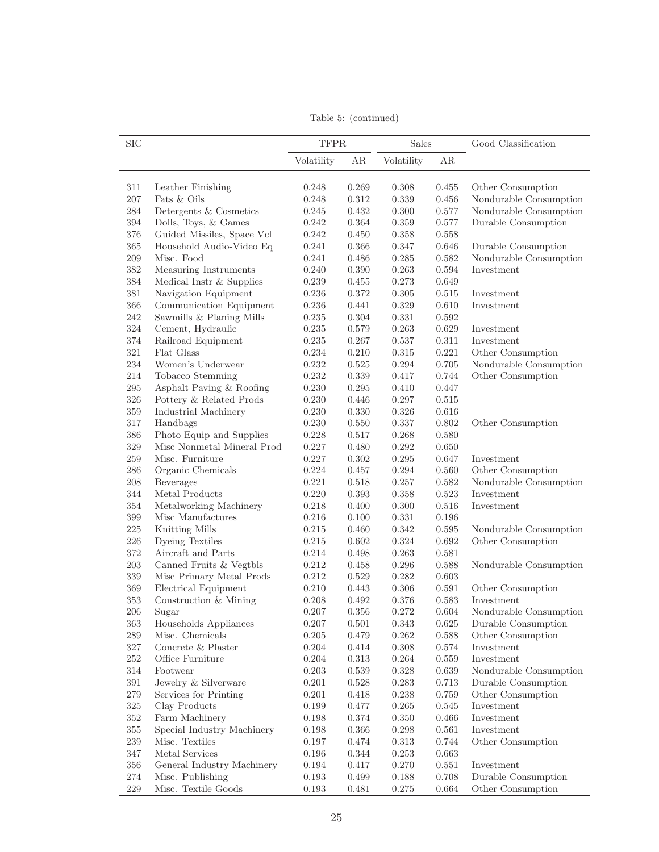SIC TFPR Sales Good Classification Volatility AR Volatility AR 311 Leather Finishing 0.248 0.269 0.308 0.455 Other Consumption 207 Fats & Oils 0.248 0.312 0.339 0.456 Nondurable Consumption 284 Detergents & Cosmetics 0.245 0.432 0.300 0.577 Nondurable Consumption 394 Dolls, Toys, & Games 0.242 0.364 0.359 0.577 Durable Consumption 376 Guided Missiles, Space Vcl 0.242 0.450 0.358 0.558 365 Household Audio-Video Eq 0.241 0.366 0.347 0.646 Durable Consumption 209 Misc. Food 0.241 0.486 0.285 0.582 Nondurable Consumption 382 Measuring Instruments 0.240 0.390 0.263 0.594 Investment 384 Medical Instr & Supplies 0.239 0.455 0.273 0.649 381 Navigation Equipment 0.236 0.372 0.305 0.515 Investment 366 Communication Equipment 0.236 0.441 0.329 0.610 Investment 242 Sawmills & Planing Mills 0.235 0.304 0.331 0.592 324 Cement, Hydraulic 0.235 0.579 0.263 0.629 Investment 374 Railroad Equipment 0.235 0.267 0.537 0.311 Investment 321 Flat Glass 0.234 0.210 0.315 0.221 Other Consumption 234 Women's Underwear 0.232 0.525 0.294 0.705 Nondurable Consumption 214 Tobacco Stemming 0.232 0.339 0.417 0.744 Other Consumption 295 Asphalt Paving & Roofing 0.230 0.295 0.410 0.447 326 Pottery & Related Prods 0.230 0.446 0.297 0.515 359 Industrial Machinery 0.230 0.330 0.326 0.616 317 Handbags 0.230 0.550 0.337 0.802 Other Consumption 386 Photo Equip and Supplies 0.228 0.517 0.268 0.580 329 Misc Nonmetal Mineral Prod 0.227 0.480 0.292 0.650 259 Misc. Furniture 0.227 0.302 0.295 0.647 Investment 286 Organic Chemicals 0.224 0.457 0.294 0.560 Other Consumption 208 Beverages 0.221 0.518 0.257 0.582 Nondurable Consumption 344 Metal Products 0.220 0.393 0.358 0.523 Investment 354 Metalworking Machinery 0.218 0.400 0.300 0.516 Investment 399 Misc Manufactures 0.216 0.100 0.331 0.196 225 Knitting Mills 0.215 0.460 0.342 0.595 Nondurable Consumption 226 Dyeing Textiles 0.215 0.602 0.324 0.692 Other Consumption 372 Aircraft and Parts 0.214 0.498 0.263 0.581 203 Canned Fruits & Vegtbls 0.212 0.458 0.296 0.588 Nondurable Consumption 339 Misc Primary Metal Prods 0.212 0.529 0.282 0.603 369 Electrical Equipment 0.210 0.443 0.306 0.591 Other Consumption 353 Construction & Mining 0.208 0.492 0.376 0.583 Investment 206 Sugar 0.207 0.356 0.272 0.604 Nondurable Consumption 363 Households Appliances 0.207 0.501 0.343 0.625 Durable Consumption 289 Misc. Chemicals 0.205 0.479 0.262 0.588 Other Consumption 327 Concrete & Plaster 0.204 0.414 0.308 0.574 Investment 252 Office Furniture 0.204 0.313 0.264 0.559 Investment 314 Footwear 0.203 0.539 0.328 0.639 Nondurable Consumption 391 Jewelry & Silverware 0.201 0.528 0.283 0.713 Durable Consumption 279 Services for Printing 0.201 0.418 0.238 0.759 Other Consumption 325 Clay Products 0.199 0.477 0.265 0.545 Investment 352 Farm Machinery 0.198 0.374 0.350 0.466 Investment 355 Special Industry Machinery 0.198 0.366 0.298 0.561 Investment 239 Misc. Textiles 0.197 0.474 0.313 0.744 Other Consumption 347 Metal Services 0.196 0.344 0.253 0.663 356 General Industry Machinery 0.194 0.417 0.270 0.551 Investment 274 Misc. Publishing 0.193 0.499 0.188 0.708 Durable Consumption

Table 5: (continued)

229 Misc. Textile Goods 0.193 0.481 0.275 0.664 Other Consumption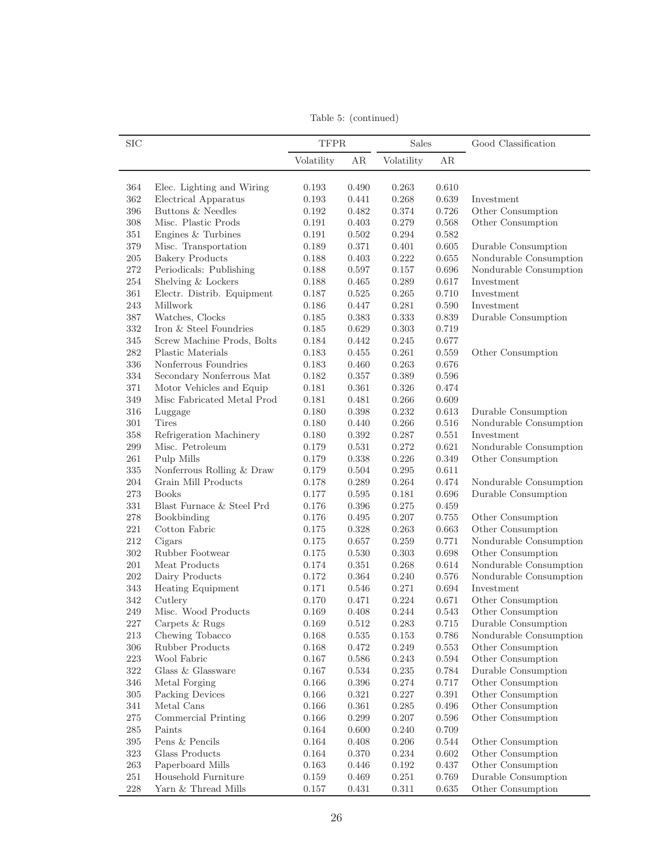Table 5: (continued)

| <b>SIC</b> |                            | <b>TFPR</b> |           | Sales      |           | Good Classification    |
|------------|----------------------------|-------------|-----------|------------|-----------|------------------------|
|            |                            | Volatility  | AR        | Volatility | AR        |                        |
| 364        | Elec. Lighting and Wiring  | 0.193       | 0.490     | 0.263      | 0.610     |                        |
| 362        | Electrical Apparatus       | 0.193       | 0.441     | 0.268      | 0.639     | Investment             |
| 396        | Buttons & Needles          | 0.192       | 0.482     | 0.374      | 0.726     | Other Consumption      |
| 308        | Misc. Plastic Prods        | 0.191       | 0.403     | 0.279      | 0.568     | Other Consumption      |
| 351        | Engines & Turbines         | 0.191       | 0.502     | 0.294      | 0.582     |                        |
| 379        | Misc. Transportation       | 0.189       | 0.371     | 0.401      | 0.605     | Durable Consumption    |
| $205\,$    | <b>Bakery Products</b>     | 0.188       | 0.403     | 0.222      | 0.655     | Nondurable Consumption |
| $272\,$    | Periodicals: Publishing    | 0.188       | 0.597     | 0.157      | 0.696     | Nondurable Consumption |
| $254\,$    | Shelving & Lockers         | 0.188       | 0.465     | 0.289      | 0.617     | Investment             |
| 361        | Electr. Distrib. Equipment | 0.187       | 0.525     | 0.265      | 0.710     | Investment             |
| 243        | Millwork                   | 0.186       | 0.447     | 0.281      | 0.590     | Investment             |
| 387        | Watches, Clocks            | 0.185       | 0.383     | 0.333      | 0.839     | Durable Consumption    |
| 332        | Iron & Steel Foundries     | 0.185       | 0.629     | 0.303      | 0.719     |                        |
| 345        | Screw Machine Prods, Bolts | 0.184       | 0.442     | 0.245      | 0.677     |                        |
| 282        | Plastic Materials          | 0.183       | 0.455     | 0.261      | 0.559     | Other Consumption      |
| 336        | Nonferrous Foundries       | 0.183       | 0.460     | 0.263      | 0.676     |                        |
| 334        | Secondary Nonferrous Mat   | 0.182       | 0.357     | 0.389      | 0.596     |                        |
| 371        | Motor Vehicles and Equip   | 0.181       | 0.361     | 0.326      | 0.474     |                        |
| 349        | Misc Fabricated Metal Prod | 0.181       | 0.481     | 0.266      | 0.609     |                        |
| 316        | Luggage                    | 0.180       | 0.398     | 0.232      | 0.613     | Durable Consumption    |
| 301        | <b>Tires</b>               | 0.180       | 0.440     | 0.266      | 0.516     | Nondurable Consumption |
| 358        | Refrigeration Machinery    | 0.180       | 0.392     | 0.287      | 0.551     | Investment             |
| 299        | Misc. Petroleum            | 0.179       | 0.531     | 0.272      | 0.621     | Nondurable Consumption |
| 261        | Pulp Mills                 | 0.179       | 0.338     | 0.226      | 0.349     | Other Consumption      |
| 335        | Nonferrous Rolling & Draw  | 0.179       | 0.504     | 0.295      | 0.611     |                        |
| 204        | Grain Mill Products        | 0.178       | 0.289     | 0.264      | 0.474     | Nondurable Consumption |
| 273        | <b>Books</b>               | 0.177       | 0.595     | 0.181      | 0.696     | Durable Consumption    |
| 331        | Blast Furnace & Steel Prd  | 0.176       | 0.396     | 0.275      | 0.459     |                        |
| 278        | Bookbinding                | 0.176       | 0.495     | 0.207      | 0.755     | Other Consumption      |
| $221\,$    | Cotton Fabric              | 0.175       | 0.328     | 0.263      | 0.663     | Other Consumption      |
| 212        | Cigars                     | 0.175       | 0.657     | 0.259      | 0.771     | Nondurable Consumption |
| 302        | Rubber Footwear            | 0.175       | 0.530     | 0.303      | 0.698     | Other Consumption      |
| 201        | Meat Products              | 0.174       | 0.351     | 0.268      | 0.614     | Nondurable Consumption |
| 202        | Dairy Products             | 0.172       | 0.364     | 0.240      | 0.576     | Nondurable Consumption |
| 343        | <b>Heating Equipment</b>   | 0.171       | 0.546     | 0.271      | 0.694     | Investment             |
| 342        | Cutlery                    | 0.170       | 0.471     | 0.224      | 0.671     | Other Consumption      |
| 249        | Misc. Wood Products        | 0.169       | 0.408     | 0.244      | 0.543     | Other Consumption      |
| 227        | Carpets & Rugs             | 0.169       | $0.512\,$ | 0.283      | $0.715\,$ | Durable Consumption    |
| 213        | Chewing Tobacco            | 0.168       | 0.535     | 0.153      | 0.786     | Nondurable Consumption |
| 306        | <b>Rubber Products</b>     | 0.168       | 0.472     | 0.249      | 0.553     | Other Consumption      |
| $223\,$    | Wool Fabric                | 0.167       | 0.586     | 0.243      | 0.594     | Other Consumption      |
| 322        | Glass & Glassware          | 0.167       | 0.534     | 0.235      | 0.784     | Durable Consumption    |
| 346        | Metal Forging              | 0.166       | 0.396     | 0.274      | $0.717\,$ | Other Consumption      |
| 305        | Packing Devices            | 0.166       | 0.321     | 0.227      | 0.391     | Other Consumption      |
| 341        | Metal Cans                 | 0.166       | 0.361     | 0.285      | 0.496     | Other Consumption      |
| 275        | Commercial Printing        | 0.166       | 0.299     | $0.207\,$  | $0.596\,$ | Other Consumption      |
| $285\,$    | Paints                     | 0.164       | 0.600     | 0.240      | 0.709     |                        |
| $395\,$    | Pens $\&$ Pencils          | 0.164       | 0.408     | $0.206\,$  | 0.544     | Other Consumption      |
| 323        | Glass Products             | 0.164       | 0.370     | 0.234      | 0.602     | Other Consumption      |
| 263        | Paperboard Mills           | 0.163       | 0.446     | 0.192      | 0.437     | Other Consumption      |
| 251        | Household Furniture        | 0.159       | 0.469     | 0.251      | 0.769     | Durable Consumption    |
| 228        | Yarn $\&$ Thread Mills     | $0.157\,$   | 0.431     | 0.311      | $0.635\,$ | Other Consumption      |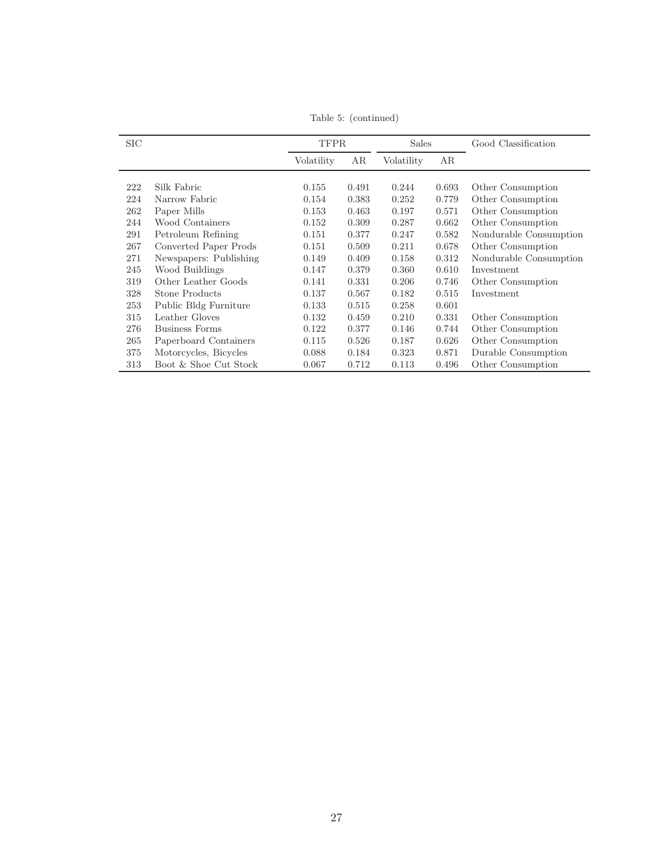| <b>SIC</b> |                        | <b>TFPR</b> |       | <b>Sales</b> |       | Good Classification    |
|------------|------------------------|-------------|-------|--------------|-------|------------------------|
|            |                        | Volatility  | AR    | Volatility   | AR    |                        |
|            |                        |             |       |              |       |                        |
| 222        | Silk Fabric            | 0.155       | 0.491 | 0.244        | 0.693 | Other Consumption      |
| 224        | Narrow Fabric          | 0.154       | 0.383 | 0.252        | 0.779 | Other Consumption      |
| 262        | Paper Mills            | 0.153       | 0.463 | 0.197        | 0.571 | Other Consumption      |
| 244        | Wood Containers        | 0.152       | 0.309 | 0.287        | 0.662 | Other Consumption      |
| 291        | Petroleum Refining     | 0.151       | 0.377 | 0.247        | 0.582 | Nondurable Consumption |
| 267        | Converted Paper Prods  | 0.151       | 0.509 | 0.211        | 0.678 | Other Consumption      |
| 271        | Newspapers: Publishing | 0.149       | 0.409 | 0.158        | 0.312 | Nondurable Consumption |
| 245        | Wood Buildings         | 0.147       | 0.379 | 0.360        | 0.610 | Investment             |
| 319        | Other Leather Goods    | 0.141       | 0.331 | 0.206        | 0.746 | Other Consumption      |
| 328        | Stone Products         | 0.137       | 0.567 | 0.182        | 0.515 | Investment             |
| 253        | Public Bldg Furniture  | 0.133       | 0.515 | 0.258        | 0.601 |                        |
| 315        | Leather Gloves         | 0.132       | 0.459 | 0.210        | 0.331 | Other Consumption      |
| 276        | <b>Business Forms</b>  | 0.122       | 0.377 | 0.146        | 0.744 | Other Consumption      |
| 265        | Paperboard Containers  | 0.115       | 0.526 | 0.187        | 0.626 | Other Consumption      |
| 375        | Motorcycles, Bicycles  | 0.088       | 0.184 | 0.323        | 0.871 | Durable Consumption    |
| 313        | Boot & Shoe Cut Stock  | 0.067       | 0.712 | 0.113        | 0.496 | Other Consumption      |

Table 5: (continued)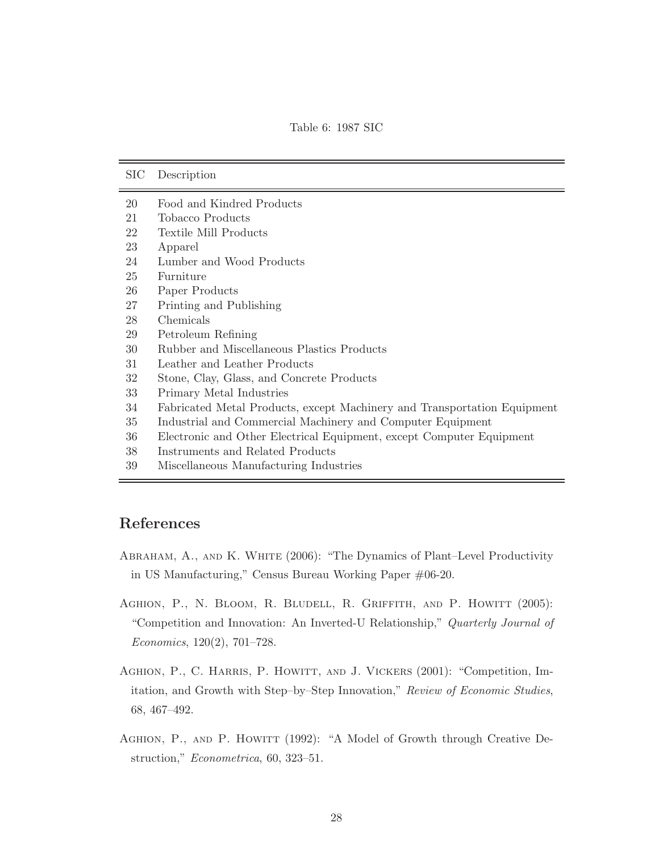<span id="page-28-4"></span>Table 6: 1987 SIC

| SIC | Description                                                              |
|-----|--------------------------------------------------------------------------|
| 20  | Food and Kindred Products                                                |
| 21  | Tobacco Products                                                         |
| 22  | Textile Mill Products                                                    |
| 23  | Apparel                                                                  |
| 24  | Lumber and Wood Products                                                 |
| 25  | Furniture                                                                |
| 26  | Paper Products                                                           |
| 27  | Printing and Publishing                                                  |
| 28  | Chemicals                                                                |
| 29  | Petroleum Refining                                                       |
| 30  | Rubber and Miscellaneous Plastics Products                               |
| 31  | Leather and Leather Products                                             |
| 32  | Stone, Clay, Glass, and Concrete Products                                |
| 33  | Primary Metal Industries                                                 |
| 34  | Fabricated Metal Products, except Machinery and Transportation Equipment |
| 35  | Industrial and Commercial Machinery and Computer Equipment               |
| 36  | Electronic and Other Electrical Equipment, except Computer Equipment     |
| 38  | Instruments and Related Products                                         |
| 39  | Miscellaneous Manufacturing Industries                                   |

# References

- <span id="page-28-1"></span>Abraham, A., and K. White (2006): "The Dynamics of Plant–Level Productivity in US Manufacturing," Census Bureau Working Paper #06-20.
- <span id="page-28-3"></span>AGHION, P., N. BLOOM, R. BLUDELL, R. GRIFFITH, AND P. HOWITT (2005): "Competition and Innovation: An Inverted-U Relationship," Quarterly Journal of Economics, 120(2), 701–728.
- <span id="page-28-2"></span>AGHION, P., C. HARRIS, P. HOWITT, AND J. VICKERS (2001): "Competition, Imitation, and Growth with Step–by–Step Innovation," Review of Economic Studies, 68, 467–492.
- <span id="page-28-0"></span>AGHION, P., AND P. HOWITT (1992): "A Model of Growth through Creative Destruction," Econometrica, 60, 323–51.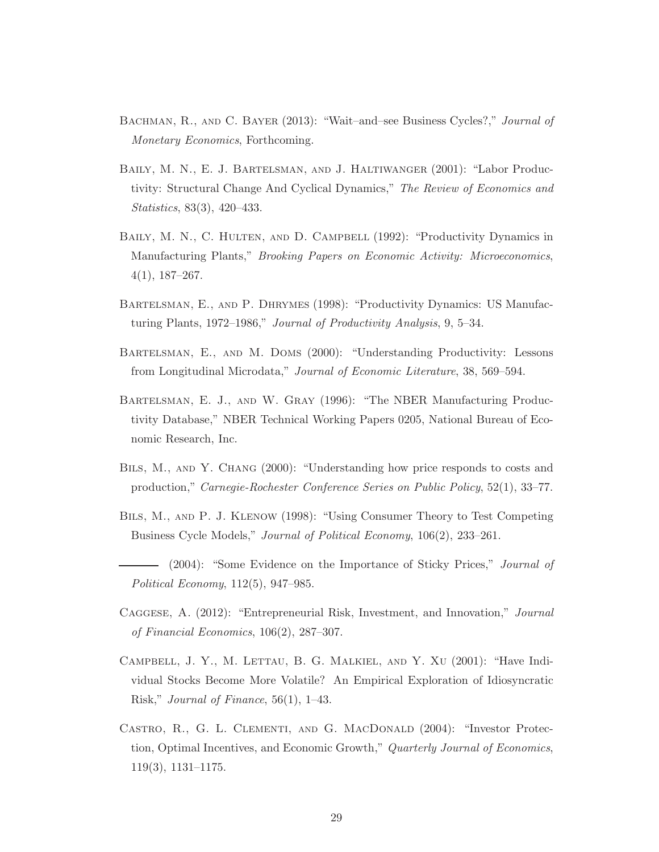- <span id="page-29-6"></span>Bachman, R., and C. Bayer (2013): "Wait–and–see Business Cycles?," Journal of Monetary Economics, Forthcoming.
- <span id="page-29-3"></span>Baily, M. N., E. J. Bartelsman, and J. Haltiwanger (2001): "Labor Productivity: Structural Change And Cyclical Dynamics," The Review of Economics and Statistics, 83(3), 420–433.
- <span id="page-29-2"></span>BAILY, M. N., C. HULTEN, AND D. CAMPBELL (1992): "Productivity Dynamics in Manufacturing Plants," Brooking Papers on Economic Activity: Microeconomics, 4(1), 187–267.
- <span id="page-29-1"></span>Bartelsman, E., and P. Dhrymes (1998): "Productivity Dynamics: US Manufacturing Plants, 1972–1986," Journal of Productivity Analysis, 9, 5–34.
- <span id="page-29-0"></span>Bartelsman, E., and M. Doms (2000): "Understanding Productivity: Lessons from Longitudinal Microdata," Journal of Economic Literature, 38, 569–594.
- <span id="page-29-10"></span>Bartelsman, E. J., and W. Gray (1996): "The NBER Manufacturing Productivity Database," NBER Technical Working Papers 0205, National Bureau of Economic Research, Inc.
- <span id="page-29-11"></span>Bils, M., and Y. Chang (2000): "Understanding how price responds to costs and production," Carnegie-Rochester Conference Series on Public Policy, 52(1), 33–77.
- <span id="page-29-9"></span>Bils, M., and P. J. Klenow (1998): "Using Consumer Theory to Test Competing Business Cycle Models," Journal of Political Economy, 106(2), 233–261.
- <span id="page-29-8"></span>(2004): "Some Evidence on the Importance of Sticky Prices," Journal of Political Economy, 112(5), 947–985.
- <span id="page-29-5"></span>Caggese, A. (2012): "Entrepreneurial Risk, Investment, and Innovation," Journal of Financial Economics, 106(2), 287–307.
- <span id="page-29-7"></span>Campbell, J. Y., M. Lettau, B. G. Malkiel, and Y. Xu (2001): "Have Individual Stocks Become More Volatile? An Empirical Exploration of Idiosyncratic Risk," Journal of Finance, 56(1), 1–43.
- <span id="page-29-4"></span>Castro, R., G. L. Clementi, and G. MacDonald (2004): "Investor Protection, Optimal Incentives, and Economic Growth," Quarterly Journal of Economics, 119(3), 1131–1175.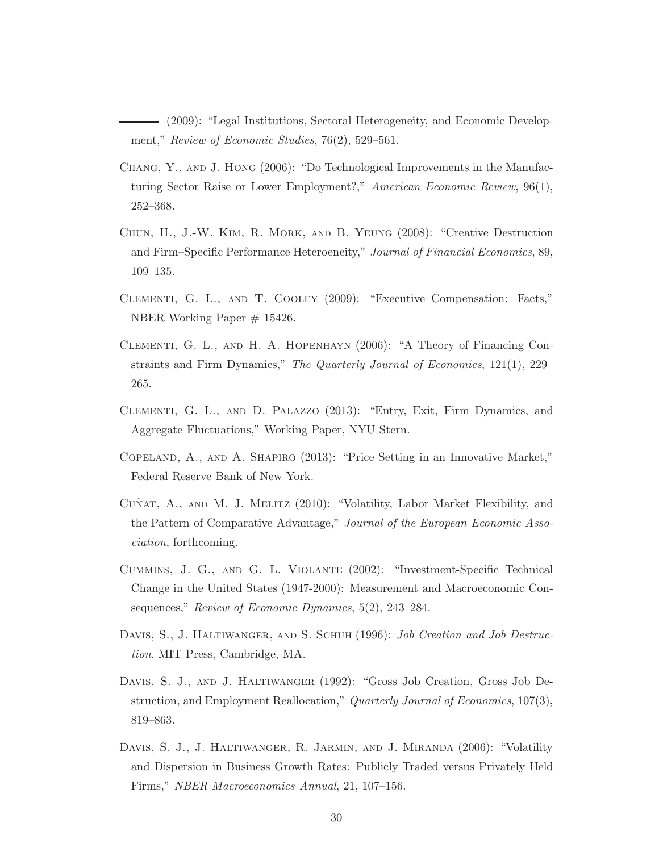<span id="page-30-4"></span>(2009): "Legal Institutions, Sectoral Heterogeneity, and Economic Development," Review of Economic Studies, 76(2), 529–561.

- <span id="page-30-10"></span>Chang, Y., and J. Hong (2006): "Do Technological Improvements in the Manufacturing Sector Raise or Lower Employment?," American Economic Review, 96(1), 252–368.
- <span id="page-30-7"></span>Chun, H., J.-W. Kim, R. Mork, and B. Yeung (2008): "Creative Destruction and Firm–Specific Performance Heteroeneity," Journal of Financial Economics, 89, 109–135.
- <span id="page-30-5"></span>Clementi, G. L., and T. Cooley (2009): "Executive Compensation: Facts," NBER Working Paper # 15426.
- <span id="page-30-0"></span>Clementi, G. L., and H. A. Hopenhayn (2006): "A Theory of Financing Constraints and Firm Dynamics," The Quarterly Journal of Economics, 121(1), 229– 265.
- <span id="page-30-8"></span>Clementi, G. L., and D. Palazzo (2013): "Entry, Exit, Firm Dynamics, and Aggregate Fluctuations," Working Paper, NYU Stern.
- <span id="page-30-9"></span>Copeland, A., and A. Shapiro (2013): "Price Setting in an Innovative Market," Federal Reserve Bank of New York.
- <span id="page-30-6"></span>CUÑAT, A., AND M. J. MELITZ (2010): "Volatility, Labor Market Flexibility, and the Pattern of Comparative Advantage," Journal of the European Economic Association, forthcoming.
- <span id="page-30-11"></span>Cummins, J. G., and G. L. Violante (2002): "Investment-Specific Technical Change in the United States (1947-2000): Measurement and Macroeconomic Consequences," Review of Economic Dynamics, 5(2), 243–284.
- <span id="page-30-2"></span>DAVIS, S., J. HALTIWANGER, AND S. SCHUH (1996): *Job Creation and Job Destruc*tion. MIT Press, Cambridge, MA.
- <span id="page-30-1"></span>Davis, S. J., and J. Haltiwanger (1992): "Gross Job Creation, Gross Job Destruction, and Employment Reallocation," Quarterly Journal of Economics, 107(3), 819–863.
- <span id="page-30-3"></span>Davis, S. J., J. Haltiwanger, R. Jarmin, and J. Miranda (2006): "Volatility and Dispersion in Business Growth Rates: Publicly Traded versus Privately Held Firms," NBER Macroeconomics Annual, 21, 107–156.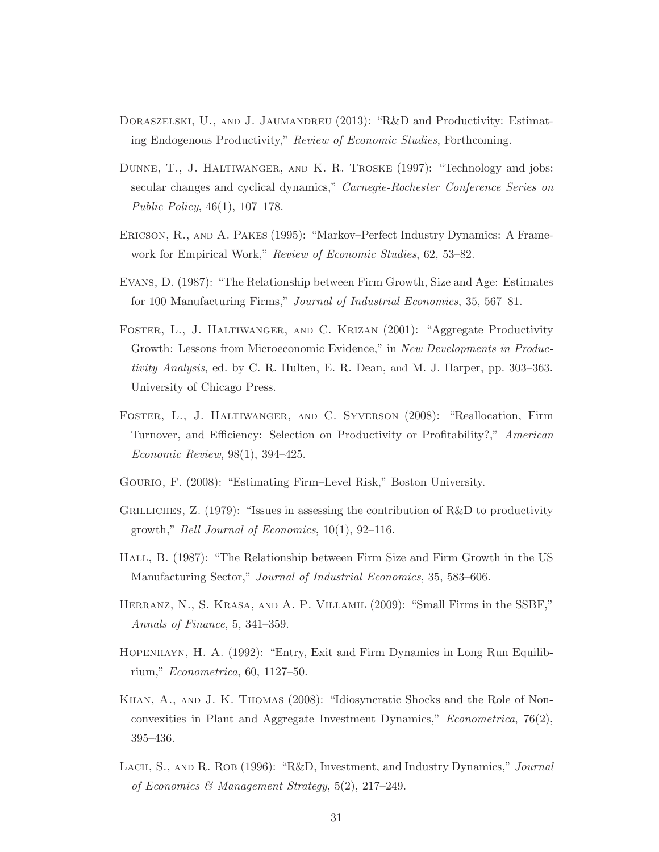- <span id="page-31-11"></span>DORASZELSKI, U., AND J. JAUMANDREU (2013): "R&D and Productivity: Estimating Endogenous Productivity," Review of Economic Studies, Forthcoming.
- <span id="page-31-12"></span>Dunne, T., J. Haltiwanger, and K. R. Troske (1997): "Technology and jobs: secular changes and cyclical dynamics," Carnegie-Rochester Conference Series on Public Policy, 46(1), 107–178.
- <span id="page-31-0"></span>Ericson, R., and A. Pakes (1995): "Markov–Perfect Industry Dynamics: A Framework for Empirical Work," Review of Economic Studies, 62, 53–82.
- <span id="page-31-7"></span>Evans, D. (1987): "The Relationship between Firm Growth, Size and Age: Estimates for 100 Manufacturing Firms," Journal of Industrial Economics, 35, 567–81.
- <span id="page-31-2"></span>Foster, L., J. Haltiwanger, and C. Krizan (2001): "Aggregate Productivity Growth: Lessons from Microeconomic Evidence," in New Developments in Productivity Analysis, ed. by C. R. Hulten, E. R. Dean, and M. J. Harper, pp. 303–363. University of Chicago Press.
- <span id="page-31-5"></span>Foster, L., J. Haltiwanger, and C. Syverson (2008): "Reallocation, Firm Turnover, and Efficiency: Selection on Productivity or Profitability?," American Economic Review, 98(1), 394–425.
- <span id="page-31-4"></span>Gourio, F. (2008): "Estimating Firm–Level Risk," Boston University.
- <span id="page-31-10"></span>GRILLICHES,  $Z.$  (1979): "Issues in assessing the contribution of R&D to productivity growth," Bell Journal of Economics,  $10(1)$ ,  $92-116$ .
- <span id="page-31-6"></span>Hall, B. (1987): "The Relationship between Firm Size and Firm Growth in the US Manufacturing Sector," Journal of Industrial Economics, 35, 583–606.
- <span id="page-31-3"></span>Herranz, N., S. Krasa, and A. P. Villamil (2009): "Small Firms in the SSBF," Annals of Finance, 5, 341–359.
- <span id="page-31-1"></span>Hopenhayn, H. A. (1992): "Entry, Exit and Firm Dynamics in Long Run Equilibrium," Econometrica, 60, 1127–50.
- <span id="page-31-8"></span>Khan, A., and J. K. Thomas (2008): "Idiosyncratic Shocks and the Role of Nonconvexities in Plant and Aggregate Investment Dynamics," Econometrica, 76(2), 395–436.
- <span id="page-31-9"></span>LACH, S., AND R. ROB (1996): "R&D, Investment, and Industry Dynamics," Journal of Economics & Management Strategy, 5(2), 217–249.